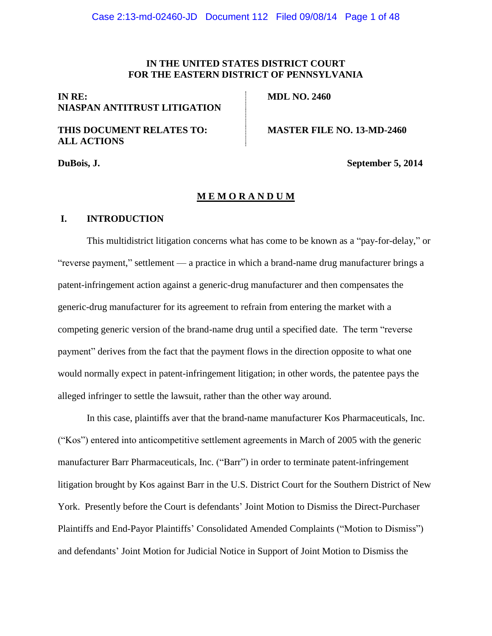# **IN THE UNITED STATES DISTRICT COURT FOR THE EASTERN DISTRICT OF PENNSYLVANIA**

# **IN RE: NIASPAN ANTITRUST LITIGATION**

# **THIS DOCUMENT RELATES TO: ALL ACTIONS**

**MDL NO. 2460**

**MASTER FILE NO. 13-MD-2460**

**DuBois, J. September 5, 2014**

## **M E M O R A N D U M**

# **I. INTRODUCTION**

This multidistrict litigation concerns what has come to be known as a "pay-for-delay," or "reverse payment," settlement — a practice in which a brand-name drug manufacturer brings a patent-infringement action against a generic-drug manufacturer and then compensates the generic-drug manufacturer for its agreement to refrain from entering the market with a competing generic version of the brand-name drug until a specified date. The term "reverse payment" derives from the fact that the payment flows in the direction opposite to what one would normally expect in patent-infringement litigation; in other words, the patentee pays the alleged infringer to settle the lawsuit, rather than the other way around.

In this case, plaintiffs aver that the brand-name manufacturer Kos Pharmaceuticals, Inc. ("Kos") entered into anticompetitive settlement agreements in March of 2005 with the generic manufacturer Barr Pharmaceuticals, Inc. ("Barr") in order to terminate patent-infringement litigation brought by Kos against Barr in the U.S. District Court for the Southern District of New York. Presently before the Court is defendants' Joint Motion to Dismiss the Direct-Purchaser Plaintiffs and End-Payor Plaintiffs' Consolidated Amended Complaints ("Motion to Dismiss") and defendants' Joint Motion for Judicial Notice in Support of Joint Motion to Dismiss the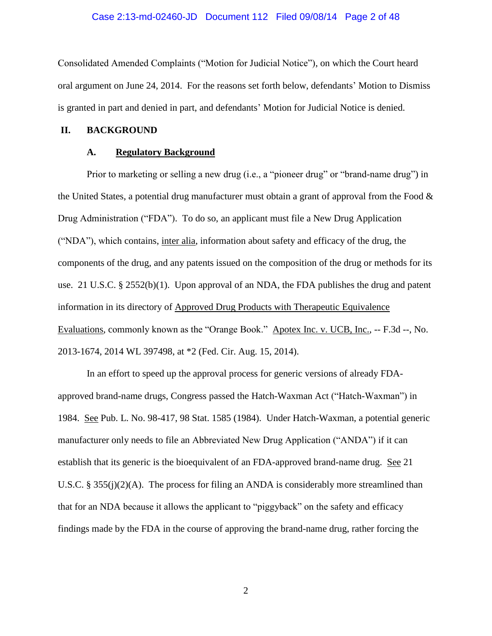#### Case 2:13-md-02460-JD Document 112 Filed 09/08/14 Page 2 of 48

Consolidated Amended Complaints ("Motion for Judicial Notice"), on which the Court heard oral argument on June 24, 2014. For the reasons set forth below, defendants' Motion to Dismiss is granted in part and denied in part, and defendants' Motion for Judicial Notice is denied.

#### **II. BACKGROUND**

### **A. Regulatory Background**

Prior to marketing or selling a new drug (i.e., a "pioneer drug" or "brand-name drug") in the United States, a potential drug manufacturer must obtain a grant of approval from the Food  $\&$ Drug Administration ("FDA"). To do so, an applicant must file a New Drug Application ("NDA"), which contains, inter alia, information about safety and efficacy of the drug, the components of the drug, and any patents issued on the composition of the drug or methods for its use. 21 U.S.C. § 2552(b)(1). Upon approval of an NDA, the FDA publishes the drug and patent information in its directory of Approved Drug Products with Therapeutic Equivalence Evaluations, commonly known as the "Orange Book." Apotex Inc. v. UCB, Inc., -- F.3d --, No. 2013-1674, 2014 WL 397498, at \*2 (Fed. Cir. Aug. 15, 2014).

In an effort to speed up the approval process for generic versions of already FDAapproved brand-name drugs, Congress passed the Hatch-Waxman Act ("Hatch-Waxman") in 1984. See Pub. L. No. 98-417, 98 Stat. 1585 (1984). Under Hatch-Waxman, a potential generic manufacturer only needs to file an Abbreviated New Drug Application ("ANDA") if it can establish that its generic is the bioequivalent of an FDA-approved brand-name drug. See 21 U.S.C. § 355(j)(2)(A). The process for filing an ANDA is considerably more streamlined than that for an NDA because it allows the applicant to "piggyback" on the safety and efficacy findings made by the FDA in the course of approving the brand-name drug, rather forcing the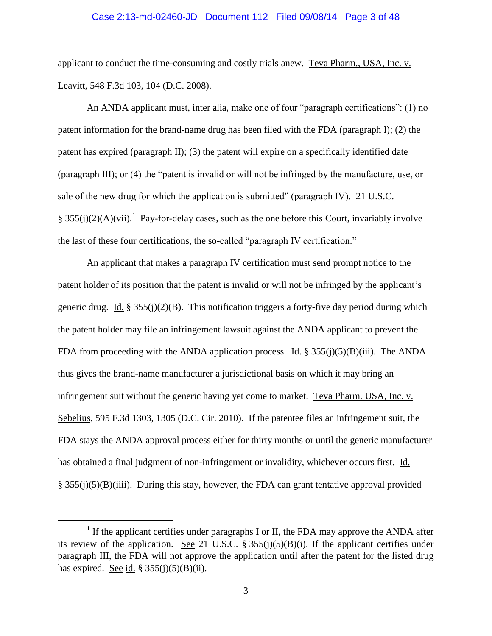#### Case 2:13-md-02460-JD Document 112 Filed 09/08/14 Page 3 of 48

applicant to conduct the time-consuming and costly trials anew. Teva Pharm., USA, Inc. v. Leavitt, 548 F.3d 103, 104 (D.C. 2008).

An ANDA applicant must, inter alia, make one of four "paragraph certifications": (1) no patent information for the brand-name drug has been filed with the FDA (paragraph I); (2) the patent has expired (paragraph II); (3) the patent will expire on a specifically identified date (paragraph III); or (4) the "patent is invalid or will not be infringed by the manufacture, use, or sale of the new drug for which the application is submitted" (paragraph IV). 21 U.S.C. § 355(j)(2)(A)(vii).<sup>1</sup> Pay-for-delay cases, such as the one before this Court, invariably involve the last of these four certifications, the so-called "paragraph IV certification."

An applicant that makes a paragraph IV certification must send prompt notice to the patent holder of its position that the patent is invalid or will not be infringed by the applicant's generic drug. Id.  $\S 355(j)(2)(B)$ . This notification triggers a forty-five day period during which the patent holder may file an infringement lawsuit against the ANDA applicant to prevent the FDA from proceeding with the ANDA application process. Id. §  $355(j)(5)(B)(iii)$ . The ANDA thus gives the brand-name manufacturer a jurisdictional basis on which it may bring an infringement suit without the generic having yet come to market. Teva Pharm. USA, Inc. v. Sebelius, 595 F.3d 1303, 1305 (D.C. Cir. 2010). If the patentee files an infringement suit, the FDA stays the ANDA approval process either for thirty months or until the generic manufacturer has obtained a final judgment of non-infringement or invalidity, whichever occurs first. Id.  $\S$  355(j)(5)(B)(iiii). During this stay, however, the FDA can grant tentative approval provided

<sup>&</sup>lt;sup>1</sup> If the applicant certifies under paragraphs I or II, the FDA may approve the ANDA after its review of the application. See 21 U.S.C. §  $355(i)(5)(B)(i)$ . If the applicant certifies under paragraph III, the FDA will not approve the application until after the patent for the listed drug has expired. See id.  $\S 355(j)(5)(B)(ii)$ .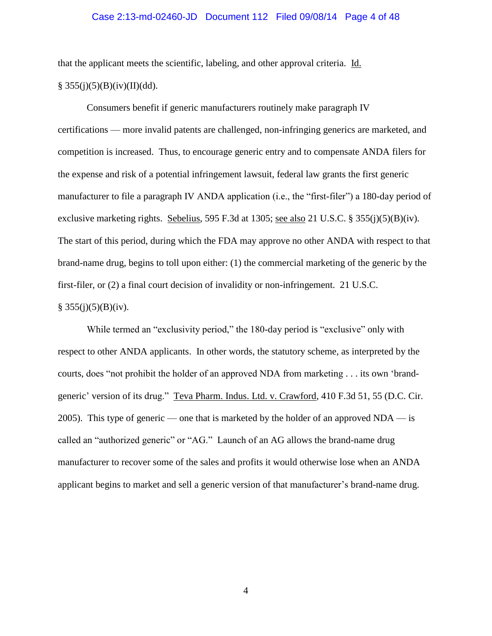### Case 2:13-md-02460-JD Document 112 Filed 09/08/14 Page 4 of 48

that the applicant meets the scientific, labeling, and other approval criteria. Id.  $§ 355(i)(5)(B)(iv)(II)(dd).$ 

Consumers benefit if generic manufacturers routinely make paragraph IV certifications — more invalid patents are challenged, non-infringing generics are marketed, and competition is increased. Thus, to encourage generic entry and to compensate ANDA filers for the expense and risk of a potential infringement lawsuit, federal law grants the first generic manufacturer to file a paragraph IV ANDA application (i.e., the "first-filer") a 180-day period of exclusive marketing rights. Sebelius, 595 F.3d at 1305; see also 21 U.S.C. § 355(j)(5)(B)(iv). The start of this period, during which the FDA may approve no other ANDA with respect to that brand-name drug, begins to toll upon either: (1) the commercial marketing of the generic by the first-filer, or (2) a final court decision of invalidity or non-infringement. 21 U.S.C.  $§ 355(j)(5)(B)(iv).$ 

While termed an "exclusivity period," the 180-day period is "exclusive" only with respect to other ANDA applicants. In other words, the statutory scheme, as interpreted by the courts, does "not prohibit the holder of an approved NDA from marketing . . . its own 'brandgeneric' version of its drug." Teva Pharm. Indus. Ltd. v. Crawford, 410 F.3d 51, 55 (D.C. Cir. 2005). This type of generic — one that is marketed by the holder of an approved  $NDA$  — is called an "authorized generic" or "AG." Launch of an AG allows the brand-name drug manufacturer to recover some of the sales and profits it would otherwise lose when an ANDA applicant begins to market and sell a generic version of that manufacturer's brand-name drug.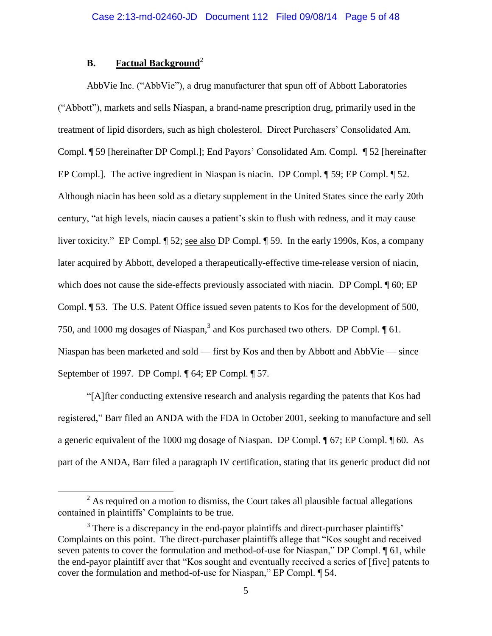# **B. Factual Background**<sup>2</sup>

 $\overline{a}$ 

AbbVie Inc. ("AbbVie"), a drug manufacturer that spun off of Abbott Laboratories ("Abbott"), markets and sells Niaspan, a brand-name prescription drug, primarily used in the treatment of lipid disorders, such as high cholesterol. Direct Purchasers' Consolidated Am. Compl. ¶ 59 [hereinafter DP Compl.]; End Payors' Consolidated Am. Compl. ¶ 52 [hereinafter EP Compl.]. The active ingredient in Niaspan is niacin. DP Compl. ¶ 59; EP Compl. ¶ 52. Although niacin has been sold as a dietary supplement in the United States since the early 20th century, "at high levels, niacin causes a patient's skin to flush with redness, and it may cause liver toxicity." EP Compl. ¶ 52; see also DP Compl. ¶ 59. In the early 1990s, Kos, a company later acquired by Abbott, developed a therapeutically-effective time-release version of niacin, which does not cause the side-effects previously associated with niacin. DP Compl.  $\P$  60; EP Compl. ¶ 53. The U.S. Patent Office issued seven patents to Kos for the development of 500, 750, and 1000 mg dosages of Niaspan,<sup>3</sup> and Kos purchased two others. DP Compl.  $\P$  61. Niaspan has been marketed and sold — first by Kos and then by Abbott and AbbVie — since September of 1997. DP Compl. ¶ 64; EP Compl. ¶ 57.

"[A]fter conducting extensive research and analysis regarding the patents that Kos had registered," Barr filed an ANDA with the FDA in October 2001, seeking to manufacture and sell a generic equivalent of the 1000 mg dosage of Niaspan. DP Compl. ¶ 67; EP Compl. ¶ 60. As part of the ANDA, Barr filed a paragraph IV certification, stating that its generic product did not

 $2$  As required on a motion to dismiss, the Court takes all plausible factual allegations contained in plaintiffs' Complaints to be true.

 $3$  There is a discrepancy in the end-payor plaintiffs and direct-purchaser plaintiffs' Complaints on this point. The direct-purchaser plaintiffs allege that "Kos sought and received seven patents to cover the formulation and method-of-use for Niaspan," DP Compl. 1 61, while the end-payor plaintiff aver that "Kos sought and eventually received a series of [five] patents to cover the formulation and method-of-use for Niaspan," EP Compl. ¶ 54.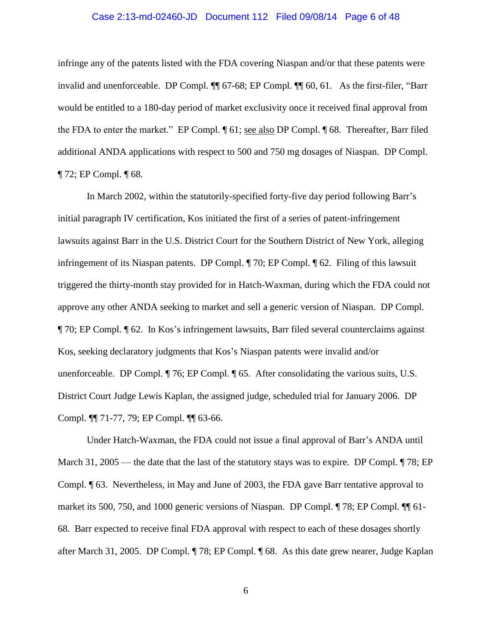### Case 2:13-md-02460-JD Document 112 Filed 09/08/14 Page 6 of 48

infringe any of the patents listed with the FDA covering Niaspan and/or that these patents were invalid and unenforceable. DP Compl. ¶¶ 67-68; EP Compl. ¶¶ 60, 61. As the first-filer, "Barr would be entitled to a 180-day period of market exclusivity once it received final approval from the FDA to enter the market." EP Compl. ¶ 61; see also DP Compl. ¶ 68. Thereafter, Barr filed additional ANDA applications with respect to 500 and 750 mg dosages of Niaspan. DP Compl. ¶ 72; EP Compl. ¶ 68.

In March 2002, within the statutorily-specified forty-five day period following Barr's initial paragraph IV certification, Kos initiated the first of a series of patent-infringement lawsuits against Barr in the U.S. District Court for the Southern District of New York, alleging infringement of its Niaspan patents. DP Compl. ¶ 70; EP Compl. ¶ 62. Filing of this lawsuit triggered the thirty-month stay provided for in Hatch-Waxman, during which the FDA could not approve any other ANDA seeking to market and sell a generic version of Niaspan. DP Compl. ¶ 70; EP Compl. ¶ 62. In Kos's infringement lawsuits, Barr filed several counterclaims against Kos, seeking declaratory judgments that Kos's Niaspan patents were invalid and/or unenforceable. DP Compl. ¶ 76; EP Compl. ¶ 65. After consolidating the various suits, U.S. District Court Judge Lewis Kaplan, the assigned judge, scheduled trial for January 2006. DP Compl. ¶¶ 71-77, 79; EP Compl. ¶¶ 63-66.

Under Hatch-Waxman, the FDA could not issue a final approval of Barr's ANDA until March 31, 2005 — the date that the last of the statutory stays was to expire. DP Compl. ¶ 78; EP Compl. ¶ 63. Nevertheless, in May and June of 2003, the FDA gave Barr tentative approval to market its 500, 750, and 1000 generic versions of Niaspan. DP Compl. ¶ 78; EP Compl. ¶¶ 61- 68. Barr expected to receive final FDA approval with respect to each of these dosages shortly after March 31, 2005. DP Compl. ¶ 78; EP Compl. ¶ 68. As this date grew nearer, Judge Kaplan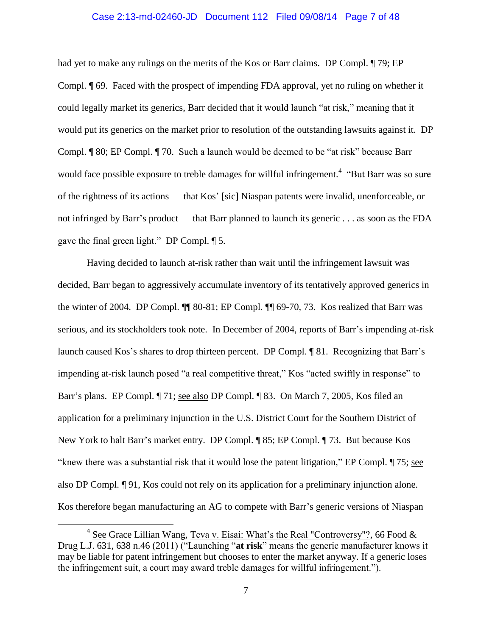#### Case 2:13-md-02460-JD Document 112 Filed 09/08/14 Page 7 of 48

had yet to make any rulings on the merits of the Kos or Barr claims. DP Compl.  $\P$  79; EP Compl. ¶ 69. Faced with the prospect of impending FDA approval, yet no ruling on whether it could legally market its generics, Barr decided that it would launch "at risk," meaning that it would put its generics on the market prior to resolution of the outstanding lawsuits against it. DP Compl. ¶ 80; EP Compl. ¶ 70. Such a launch would be deemed to be "at risk" because Barr would face possible exposure to treble damages for willful infringement.<sup>4</sup> "But Barr was so sure of the rightness of its actions — that Kos' [sic] Niaspan patents were invalid, unenforceable, or not infringed by Barr's product — that Barr planned to launch its generic . . . as soon as the FDA gave the final green light." DP Compl. ¶ 5.

Having decided to launch at-risk rather than wait until the infringement lawsuit was decided, Barr began to aggressively accumulate inventory of its tentatively approved generics in the winter of 2004. DP Compl. ¶¶ 80-81; EP Compl. ¶¶ 69-70, 73. Kos realized that Barr was serious, and its stockholders took note. In December of 2004, reports of Barr's impending at-risk launch caused Kos's shares to drop thirteen percent. DP Compl. ¶ 81. Recognizing that Barr's impending at-risk launch posed "a real competitive threat," Kos "acted swiftly in response" to Barr's plans. EP Compl. ¶ 71; see also DP Compl. ¶ 83. On March 7, 2005, Kos filed an application for a preliminary injunction in the U.S. District Court for the Southern District of New York to halt Barr's market entry. DP Compl. ¶ 85; EP Compl. ¶ 73. But because Kos "knew there was a substantial risk that it would lose the patent litigation," EP Compl. ¶ 75; see also DP Compl. ¶ 91, Kos could not rely on its application for a preliminary injunction alone. Kos therefore began manufacturing an AG to compete with Barr's generic versions of Niaspan

 $4 \text{ See }$  Grace Lillian Wang, Teva v. Eisai: What's the Real "Controversy"?, 66 Food & Drug L.J. 631, 638 n.46 (2011) ("Launching "**at risk**" means the generic manufacturer knows it may be liable for patent infringement but chooses to enter the market anyway. If a generic loses the infringement suit, a court may award treble damages for willful infringement.").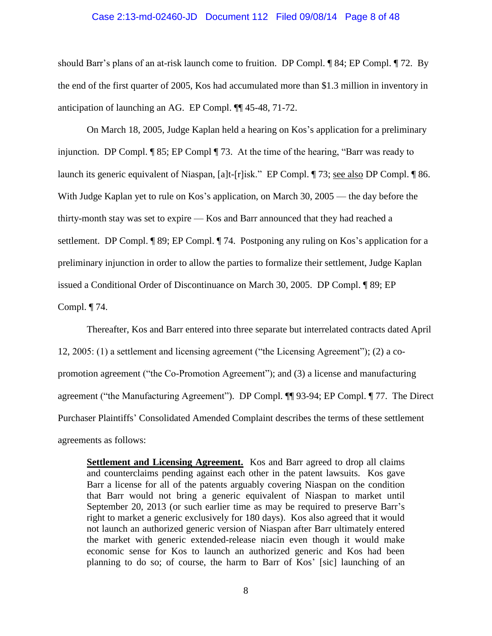# Case 2:13-md-02460-JD Document 112 Filed 09/08/14 Page 8 of 48

should Barr's plans of an at-risk launch come to fruition. DP Compl. ¶ 84; EP Compl. ¶ 72. By the end of the first quarter of 2005, Kos had accumulated more than \$1.3 million in inventory in anticipation of launching an AG. EP Compl. ¶¶ 45-48, 71-72.

On March 18, 2005, Judge Kaplan held a hearing on Kos's application for a preliminary injunction. DP Compl. ¶ 85; EP Compl ¶ 73. At the time of the hearing, "Barr was ready to launch its generic equivalent of Niaspan, [a]t-[r]isk." EP Compl. ¶ 73; see also DP Compl. ¶ 86. With Judge Kaplan yet to rule on Kos's application, on March 30, 2005 — the day before the thirty-month stay was set to expire — Kos and Barr announced that they had reached a settlement. DP Compl. ¶ 89; EP Compl. ¶ 74. Postponing any ruling on Kos's application for a preliminary injunction in order to allow the parties to formalize their settlement, Judge Kaplan issued a Conditional Order of Discontinuance on March 30, 2005. DP Compl. ¶ 89; EP Compl. ¶ 74.

Thereafter, Kos and Barr entered into three separate but interrelated contracts dated April 12, 2005: (1) a settlement and licensing agreement ("the Licensing Agreement"); (2) a copromotion agreement ("the Co-Promotion Agreement"); and (3) a license and manufacturing agreement ("the Manufacturing Agreement"). DP Compl. ¶¶ 93-94; EP Compl. ¶ 77. The Direct Purchaser Plaintiffs' Consolidated Amended Complaint describes the terms of these settlement agreements as follows:

**Settlement and Licensing Agreement.** Kos and Barr agreed to drop all claims and counterclaims pending against each other in the patent lawsuits. Kos gave Barr a license for all of the patents arguably covering Niaspan on the condition that Barr would not bring a generic equivalent of Niaspan to market until September 20, 2013 (or such earlier time as may be required to preserve Barr's right to market a generic exclusively for 180 days). Kos also agreed that it would not launch an authorized generic version of Niaspan after Barr ultimately entered the market with generic extended-release niacin even though it would make economic sense for Kos to launch an authorized generic and Kos had been planning to do so; of course, the harm to Barr of Kos' [sic] launching of an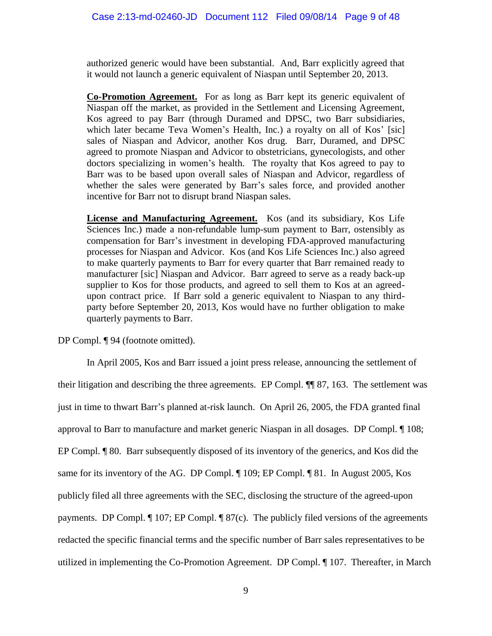authorized generic would have been substantial. And, Barr explicitly agreed that it would not launch a generic equivalent of Niaspan until September 20, 2013.

**Co-Promotion Agreement.** For as long as Barr kept its generic equivalent of Niaspan off the market, as provided in the Settlement and Licensing Agreement, Kos agreed to pay Barr (through Duramed and DPSC, two Barr subsidiaries, which later became Teva Women's Health, Inc.) a royalty on all of Kos' [sic] sales of Niaspan and Advicor, another Kos drug. Barr, Duramed, and DPSC agreed to promote Niaspan and Advicor to obstetricians, gynecologists, and other doctors specializing in women's health. The royalty that Kos agreed to pay to Barr was to be based upon overall sales of Niaspan and Advicor, regardless of whether the sales were generated by Barr's sales force, and provided another incentive for Barr not to disrupt brand Niaspan sales.

**License and Manufacturing Agreement.** Kos (and its subsidiary, Kos Life Sciences Inc.) made a non-refundable lump-sum payment to Barr, ostensibly as compensation for Barr's investment in developing FDA-approved manufacturing processes for Niaspan and Advicor. Kos (and Kos Life Sciences Inc.) also agreed to make quarterly payments to Barr for every quarter that Barr remained ready to manufacturer [sic] Niaspan and Advicor. Barr agreed to serve as a ready back-up supplier to Kos for those products, and agreed to sell them to Kos at an agreedupon contract price. If Barr sold a generic equivalent to Niaspan to any thirdparty before September 20, 2013, Kos would have no further obligation to make quarterly payments to Barr.

DP Compl. ¶ 94 (footnote omitted).

In April 2005, Kos and Barr issued a joint press release, announcing the settlement of their litigation and describing the three agreements. EP Compl. ¶¶ 87, 163. The settlement was just in time to thwart Barr's planned at-risk launch. On April 26, 2005, the FDA granted final approval to Barr to manufacture and market generic Niaspan in all dosages. DP Compl. ¶ 108; EP Compl. ¶ 80. Barr subsequently disposed of its inventory of the generics, and Kos did the same for its inventory of the AG. DP Compl.  $\P$  109; EP Compl.  $\P$  81. In August 2005, Kos publicly filed all three agreements with the SEC, disclosing the structure of the agreed-upon payments. DP Compl. ¶ 107; EP Compl. ¶ 87(c). The publicly filed versions of the agreements redacted the specific financial terms and the specific number of Barr sales representatives to be utilized in implementing the Co-Promotion Agreement. DP Compl. ¶ 107. Thereafter, in March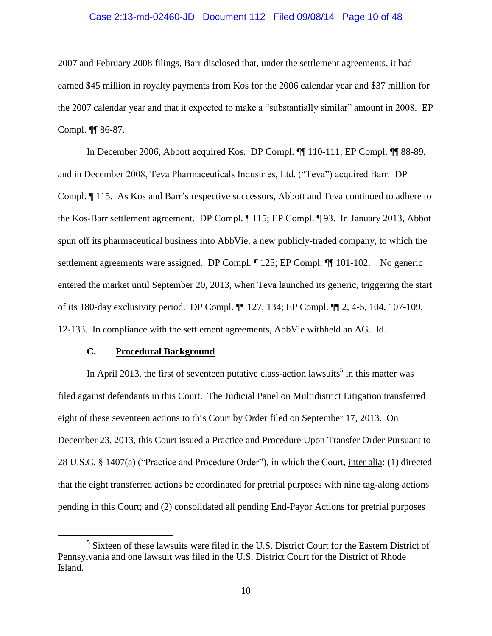### Case 2:13-md-02460-JD Document 112 Filed 09/08/14 Page 10 of 48

2007 and February 2008 filings, Barr disclosed that, under the settlement agreements, it had earned \$45 million in royalty payments from Kos for the 2006 calendar year and \$37 million for the 2007 calendar year and that it expected to make a "substantially similar" amount in 2008. EP Compl. ¶¶ 86-87.

In December 2006, Abbott acquired Kos. DP Compl. ¶¶ 110-111; EP Compl. ¶¶ 88-89, and in December 2008, Teva Pharmaceuticals Industries, Ltd. ("Teva") acquired Barr. DP Compl. ¶ 115. As Kos and Barr's respective successors, Abbott and Teva continued to adhere to the Kos-Barr settlement agreement. DP Compl. ¶ 115; EP Compl. ¶ 93. In January 2013, Abbot spun off its pharmaceutical business into AbbVie, a new publicly-traded company, to which the settlement agreements were assigned. DP Compl. ¶ 125; EP Compl. ¶¶ 101-102. No generic entered the market until September 20, 2013, when Teva launched its generic, triggering the start of its 180-day exclusivity period. DP Compl. ¶¶ 127, 134; EP Compl. ¶¶ 2, 4-5, 104, 107-109, 12-133. In compliance with the settlement agreements, AbbVie withheld an AG. Id.

# **C. Procedural Background**

 $\overline{a}$ 

In April 2013, the first of seventeen putative class-action lawsuits<sup>5</sup> in this matter was filed against defendants in this Court. The Judicial Panel on Multidistrict Litigation transferred eight of these seventeen actions to this Court by Order filed on September 17, 2013. On December 23, 2013, this Court issued a Practice and Procedure Upon Transfer Order Pursuant to 28 U.S.C. § 1407(a) ("Practice and Procedure Order"), in which the Court, inter alia: (1) directed that the eight transferred actions be coordinated for pretrial purposes with nine tag-along actions pending in this Court; and (2) consolidated all pending End-Payor Actions for pretrial purposes

<sup>&</sup>lt;sup>5</sup> Sixteen of these lawsuits were filed in the U.S. District Court for the Eastern District of Pennsylvania and one lawsuit was filed in the U.S. District Court for the District of Rhode Island.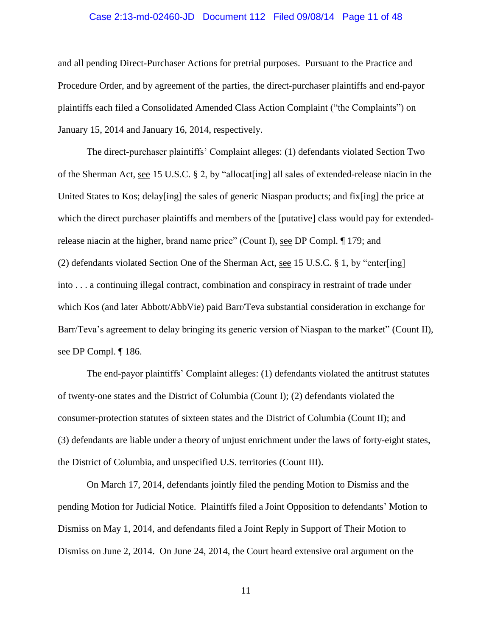### Case 2:13-md-02460-JD Document 112 Filed 09/08/14 Page 11 of 48

and all pending Direct-Purchaser Actions for pretrial purposes. Pursuant to the Practice and Procedure Order, and by agreement of the parties, the direct-purchaser plaintiffs and end-payor plaintiffs each filed a Consolidated Amended Class Action Complaint ("the Complaints") on January 15, 2014 and January 16, 2014, respectively.

The direct-purchaser plaintiffs' Complaint alleges: (1) defendants violated Section Two of the Sherman Act, see 15 U.S.C. § 2, by "allocat[ing] all sales of extended-release niacin in the United States to Kos; delay[ing] the sales of generic Niaspan products; and fix[ing] the price at which the direct purchaser plaintiffs and members of the [putative] class would pay for extendedrelease niacin at the higher, brand name price" (Count I), see DP Compl. ¶ 179; and (2) defendants violated Section One of the Sherman Act, see 15 U.S.C. § 1, by "enter[ing] into . . . a continuing illegal contract, combination and conspiracy in restraint of trade under which Kos (and later Abbott/AbbVie) paid Barr/Teva substantial consideration in exchange for Barr/Teva's agreement to delay bringing its generic version of Niaspan to the market" (Count II), see DP Compl. ¶ 186.

The end-payor plaintiffs' Complaint alleges: (1) defendants violated the antitrust statutes of twenty-one states and the District of Columbia (Count I); (2) defendants violated the consumer-protection statutes of sixteen states and the District of Columbia (Count II); and (3) defendants are liable under a theory of unjust enrichment under the laws of forty-eight states, the District of Columbia, and unspecified U.S. territories (Count III).

On March 17, 2014, defendants jointly filed the pending Motion to Dismiss and the pending Motion for Judicial Notice. Plaintiffs filed a Joint Opposition to defendants' Motion to Dismiss on May 1, 2014, and defendants filed a Joint Reply in Support of Their Motion to Dismiss on June 2, 2014. On June 24, 2014, the Court heard extensive oral argument on the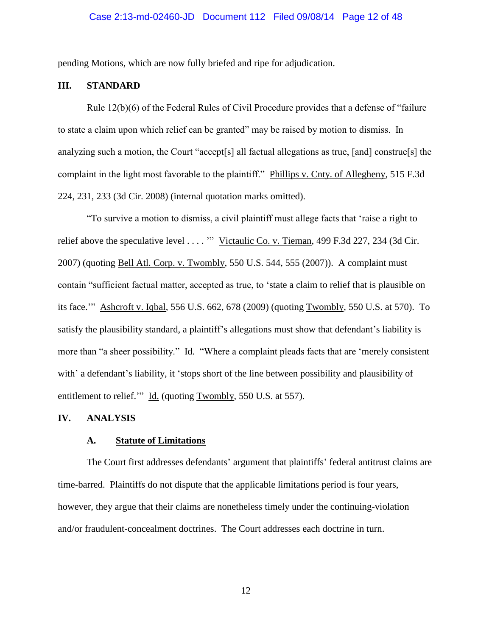pending Motions, which are now fully briefed and ripe for adjudication.

# **III. STANDARD**

Rule 12(b)(6) of the Federal Rules of Civil Procedure provides that a defense of "failure to state a claim upon which relief can be granted" may be raised by motion to dismiss. In analyzing such a motion, the Court "accept[s] all factual allegations as true, [and] construe[s] the complaint in the light most favorable to the plaintiff." Phillips v. Cnty. of Allegheny, 515 F.3d 224, 231, 233 (3d Cir. 2008) (internal quotation marks omitted).

"To survive a motion to dismiss, a civil plaintiff must allege facts that 'raise a right to relief above the speculative level . . . . "" Victaulic Co. v. Tieman, 499 F.3d 227, 234 (3d Cir. 2007) (quoting Bell Atl. Corp. v. Twombly, 550 U.S. 544, 555 (2007)). A complaint must contain "sufficient factual matter, accepted as true, to 'state a claim to relief that is plausible on its face.'" Ashcroft v. Iqbal, 556 U.S. 662, 678 (2009) (quoting Twombly, 550 U.S. at 570). To satisfy the plausibility standard, a plaintiff's allegations must show that defendant's liability is more than "a sheer possibility." Id. "Where a complaint pleads facts that are 'merely consistent with' a defendant's liability, it 'stops short of the line between possibility and plausibility of entitlement to relief." Id. (quoting Twombly, 550 U.S. at 557).

#### **IV. ANALYSIS**

#### **A. Statute of Limitations**

The Court first addresses defendants' argument that plaintiffs' federal antitrust claims are time-barred. Plaintiffs do not dispute that the applicable limitations period is four years, however, they argue that their claims are nonetheless timely under the continuing-violation and/or fraudulent-concealment doctrines. The Court addresses each doctrine in turn.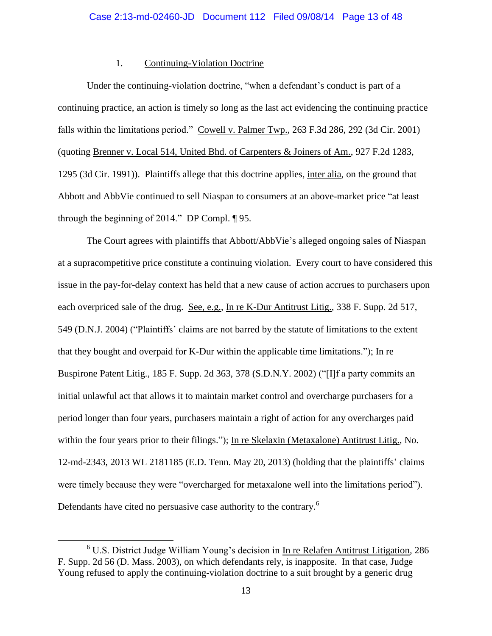### 1. Continuing-Violation Doctrine

Under the continuing-violation doctrine, "when a defendant's conduct is part of a continuing practice, an action is timely so long as the last act evidencing the continuing practice falls within the limitations period." Cowell v. Palmer Twp., 263 F.3d 286, 292 (3d Cir. 2001) (quoting Brenner v. Local 514, United Bhd. of Carpenters & Joiners of Am., 927 F.2d 1283, 1295 (3d Cir. 1991)). Plaintiffs allege that this doctrine applies, inter alia, on the ground that Abbott and AbbVie continued to sell Niaspan to consumers at an above-market price "at least through the beginning of 2014." DP Compl. ¶ 95.

The Court agrees with plaintiffs that Abbott/AbbVie's alleged ongoing sales of Niaspan at a supracompetitive price constitute a continuing violation. Every court to have considered this issue in the pay-for-delay context has held that a new cause of action accrues to purchasers upon each overpriced sale of the drug. See, e.g., In re K-Dur Antitrust Litig., 338 F. Supp. 2d 517, 549 (D.N.J. 2004) ("Plaintiffs' claims are not barred by the statute of limitations to the extent that they bought and overpaid for K-Dur within the applicable time limitations."); In re Buspirone Patent Litig., 185 F. Supp. 2d 363, 378 (S.D.N.Y. 2002) ("[I]f a party commits an initial unlawful act that allows it to maintain market control and overcharge purchasers for a period longer than four years, purchasers maintain a right of action for any overcharges paid within the four years prior to their filings."); In re Skelaxin (Metaxalone) Antitrust Litig., No. 12-md-2343, 2013 WL 2181185 (E.D. Tenn. May 20, 2013) (holding that the plaintiffs' claims were timely because they were "overcharged for metaxalone well into the limitations period"). Defendants have cited no persuasive case authority to the contrary.<sup>6</sup>

 $6$  U.S. District Judge William Young's decision in In re Relafen Antitrust Litigation, 286 F. Supp. 2d 56 (D. Mass. 2003), on which defendants rely, is inapposite. In that case, Judge Young refused to apply the continuing-violation doctrine to a suit brought by a generic drug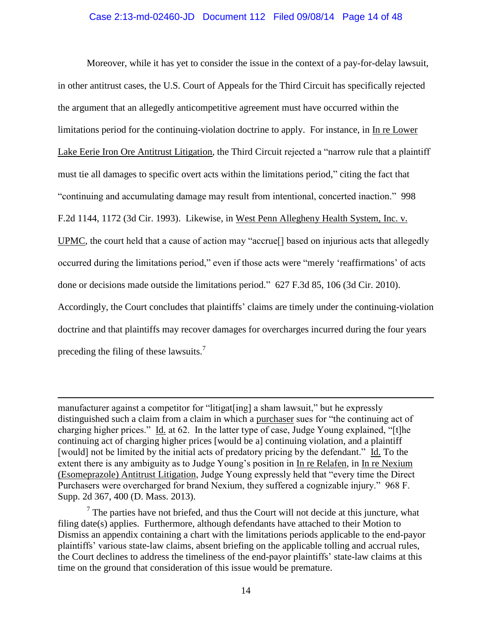### Case 2:13-md-02460-JD Document 112 Filed 09/08/14 Page 14 of 48

Moreover, while it has yet to consider the issue in the context of a pay-for-delay lawsuit, in other antitrust cases, the U.S. Court of Appeals for the Third Circuit has specifically rejected the argument that an allegedly anticompetitive agreement must have occurred within the limitations period for the continuing-violation doctrine to apply. For instance, in In re Lower Lake Eerie Iron Ore Antitrust Litigation, the Third Circuit rejected a "narrow rule that a plaintiff must tie all damages to specific overt acts within the limitations period," citing the fact that "continuing and accumulating damage may result from intentional, concerted inaction." 998 F.2d 1144, 1172 (3d Cir. 1993). Likewise, in West Penn Allegheny Health System, Inc. v. UPMC, the court held that a cause of action may "accrue[] based on injurious acts that allegedly occurred during the limitations period," even if those acts were "merely 'reaffirmations' of acts done or decisions made outside the limitations period." 627 F.3d 85, 106 (3d Cir. 2010). Accordingly, the Court concludes that plaintiffs' claims are timely under the continuing-violation doctrine and that plaintiffs may recover damages for overcharges incurred during the four years preceding the filing of these lawsuits.<sup>7</sup>

manufacturer against a competitor for "litigat[ing] a sham lawsuit," but he expressly distinguished such a claim from a claim in which a purchaser sues for "the continuing act of charging higher prices." Id. at 62. In the latter type of case, Judge Young explained, "[t]he continuing act of charging higher prices [would be a] continuing violation, and a plaintiff [would] not be limited by the initial acts of predatory pricing by the defendant." Id. To the extent there is any ambiguity as to Judge Young's position in In re Relafen, in In re Nexium (Esomeprazole) Antitrust Litigation, Judge Young expressly held that "every time the Direct Purchasers were overcharged for brand Nexium, they suffered a cognizable injury." 968 F. Supp. 2d 367, 400 (D. Mass. 2013).

 $\overline{a}$ 

 $<sup>7</sup>$  The parties have not briefed, and thus the Court will not decide at this juncture, what</sup> filing date(s) applies. Furthermore, although defendants have attached to their Motion to Dismiss an appendix containing a chart with the limitations periods applicable to the end-payor plaintiffs' various state-law claims, absent briefing on the applicable tolling and accrual rules, the Court declines to address the timeliness of the end-payor plaintiffs' state-law claims at this time on the ground that consideration of this issue would be premature.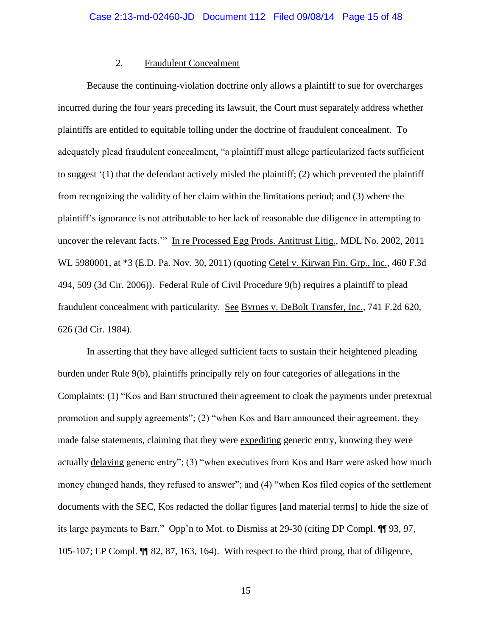# 2. Fraudulent Concealment

Because the continuing-violation doctrine only allows a plaintiff to sue for overcharges incurred during the four years preceding its lawsuit, the Court must separately address whether plaintiffs are entitled to equitable tolling under the doctrine of fraudulent concealment. To adequately plead fraudulent concealment, "a plaintiff must allege particularized facts sufficient to suggest '(1) that the defendant actively misled the plaintiff; (2) which prevented the plaintiff from recognizing the validity of her claim within the limitations period; and (3) where the plaintiff's ignorance is not attributable to her lack of reasonable due diligence in attempting to uncover the relevant facts.'" In re Processed Egg Prods. Antitrust Litig., MDL No. 2002, 2011 WL 5980001, at \*3 (E.D. Pa. Nov. 30, 2011) (quoting Cetel v. Kirwan Fin. Grp., Inc., 460 F.3d 494, 509 (3d Cir. 2006)). Federal Rule of Civil Procedure 9(b) requires a plaintiff to plead fraudulent concealment with particularity. See Byrnes v. DeBolt Transfer, Inc., 741 F.2d 620, 626 (3d Cir. 1984).

In asserting that they have alleged sufficient facts to sustain their heightened pleading burden under Rule 9(b), plaintiffs principally rely on four categories of allegations in the Complaints: (1) "Kos and Barr structured their agreement to cloak the payments under pretextual promotion and supply agreements"; (2) "when Kos and Barr announced their agreement, they made false statements, claiming that they were expediting generic entry, knowing they were actually delaying generic entry"; (3) "when executives from Kos and Barr were asked how much money changed hands, they refused to answer"; and (4) "when Kos filed copies of the settlement documents with the SEC, Kos redacted the dollar figures [and material terms] to hide the size of its large payments to Barr." Opp'n to Mot. to Dismiss at 29-30 (citing DP Compl. ¶¶ 93, 97, 105-107; EP Compl. ¶¶ 82, 87, 163, 164). With respect to the third prong, that of diligence,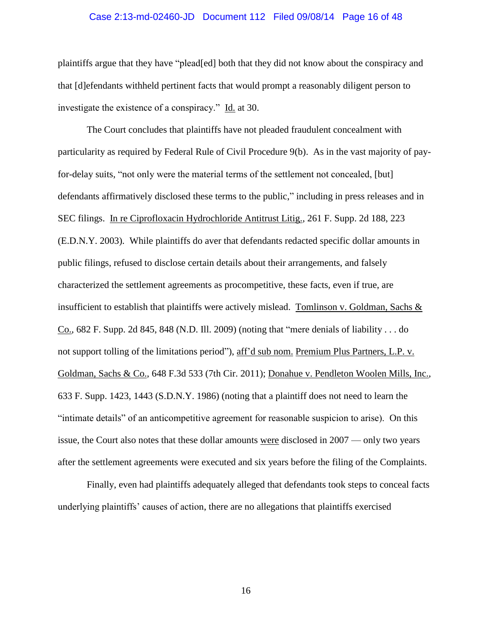### Case 2:13-md-02460-JD Document 112 Filed 09/08/14 Page 16 of 48

plaintiffs argue that they have "plead[ed] both that they did not know about the conspiracy and that [d]efendants withheld pertinent facts that would prompt a reasonably diligent person to investigate the existence of a conspiracy." Id. at 30.

The Court concludes that plaintiffs have not pleaded fraudulent concealment with particularity as required by Federal Rule of Civil Procedure 9(b). As in the vast majority of payfor-delay suits, "not only were the material terms of the settlement not concealed, [but] defendants affirmatively disclosed these terms to the public," including in press releases and in SEC filings. In re Ciprofloxacin Hydrochloride Antitrust Litig., 261 F. Supp. 2d 188, 223 (E.D.N.Y. 2003). While plaintiffs do aver that defendants redacted specific dollar amounts in public filings, refused to disclose certain details about their arrangements, and falsely characterized the settlement agreements as procompetitive, these facts, even if true, are insufficient to establish that plaintiffs were actively mislead. Tomlinson v. Goldman, Sachs  $\&$ Co., 682 F. Supp. 2d 845, 848 (N.D. Ill. 2009) (noting that "mere denials of liability . . . do not support tolling of the limitations period"), aff'd sub nom. Premium Plus Partners, L.P. v. Goldman, Sachs & Co., 648 F.3d 533 (7th Cir. 2011); Donahue v. Pendleton Woolen Mills, Inc., 633 F. Supp. 1423, 1443 (S.D.N.Y. 1986) (noting that a plaintiff does not need to learn the "intimate details" of an anticompetitive agreement for reasonable suspicion to arise). On this issue, the Court also notes that these dollar amounts were disclosed in 2007 — only two years after the settlement agreements were executed and six years before the filing of the Complaints.

Finally, even had plaintiffs adequately alleged that defendants took steps to conceal facts underlying plaintiffs' causes of action, there are no allegations that plaintiffs exercised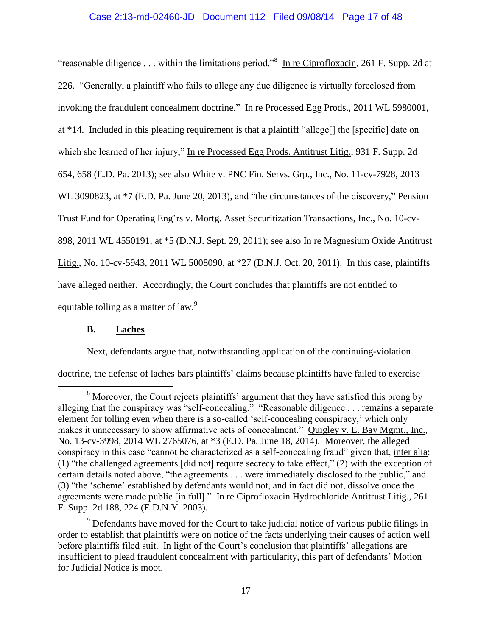# Case 2:13-md-02460-JD Document 112 Filed 09/08/14 Page 17 of 48

"reasonable diligence . . . within the limitations period."<sup>8</sup> In re Ciprofloxacin, 261 F. Supp. 2d at 226. "Generally, a plaintiff who fails to allege any due diligence is virtually foreclosed from invoking the fraudulent concealment doctrine." In re Processed Egg Prods., 2011 WL 5980001, at \*14. Included in this pleading requirement is that a plaintiff "allege[] the [specific] date on which she learned of her injury," In re Processed Egg Prods. Antitrust Litig., 931 F. Supp. 2d 654, 658 (E.D. Pa. 2013); see also White v. PNC Fin. Servs. Grp., Inc., No. 11-cv-7928, 2013 WL 3090823, at \*7 (E.D. Pa. June 20, 2013), and "the circumstances of the discovery," Pension Trust Fund for Operating Eng'rs v. Mortg. Asset Securitization Transactions, Inc., No. 10-cv-898, 2011 WL 4550191, at \*5 (D.N.J. Sept. 29, 2011); see also In re Magnesium Oxide Antitrust Litig., No. 10-cv-5943, 2011 WL 5008090, at \*27 (D.N.J. Oct. 20, 2011). In this case, plaintiffs have alleged neither. Accordingly, the Court concludes that plaintiffs are not entitled to equitable tolling as a matter of law.<sup>9</sup>

# **B. Laches**

 $\overline{a}$ 

Next, defendants argue that, notwithstanding application of the continuing-violation

doctrine, the defense of laches bars plaintiffs' claims because plaintiffs have failed to exercise

<sup>9</sup> Defendants have moved for the Court to take judicial notice of various public filings in order to establish that plaintiffs were on notice of the facts underlying their causes of action well before plaintiffs filed suit. In light of the Court's conclusion that plaintiffs' allegations are insufficient to plead fraudulent concealment with particularity, this part of defendants' Motion for Judicial Notice is moot.

<sup>&</sup>lt;sup>8</sup> Moreover, the Court rejects plaintiffs' argument that they have satisfied this prong by alleging that the conspiracy was "self-concealing." "Reasonable diligence . . . remains a separate element for tolling even when there is a so-called 'self-concealing conspiracy,' which only makes it unnecessary to show affirmative acts of concealment." Quigley v. E. Bay Mgmt., Inc., No. 13-cv-3998, 2014 WL 2765076, at \*3 (E.D. Pa. June 18, 2014). Moreover, the alleged conspiracy in this case "cannot be characterized as a self-concealing fraud" given that, inter alia: (1) "the challenged agreements [did not] require secrecy to take effect," (2) with the exception of certain details noted above, "the agreements . . . were immediately disclosed to the public," and (3) "the 'scheme' established by defendants would not, and in fact did not, dissolve once the agreements were made public [in full]." In re Ciprofloxacin Hydrochloride Antitrust Litig., 261 F. Supp. 2d 188, 224 (E.D.N.Y. 2003).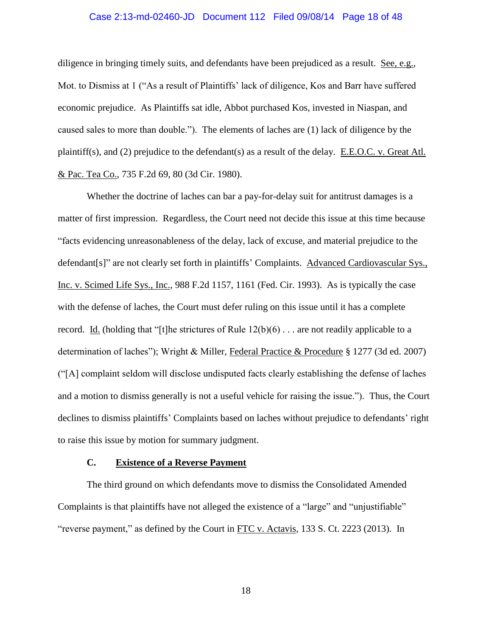### Case 2:13-md-02460-JD Document 112 Filed 09/08/14 Page 18 of 48

diligence in bringing timely suits, and defendants have been prejudiced as a result. See, e.g., Mot. to Dismiss at 1 ("As a result of Plaintiffs' lack of diligence, Kos and Barr have suffered economic prejudice. As Plaintiffs sat idle, Abbot purchased Kos, invested in Niaspan, and caused sales to more than double."). The elements of laches are (1) lack of diligence by the plaintiff(s), and (2) prejudice to the defendant(s) as a result of the delay. E.E.O.C. v. Great Atl. & Pac. Tea Co., 735 F.2d 69, 80 (3d Cir. 1980).

Whether the doctrine of laches can bar a pay-for-delay suit for antitrust damages is a matter of first impression. Regardless, the Court need not decide this issue at this time because "facts evidencing unreasonableness of the delay, lack of excuse, and material prejudice to the defendant[s]" are not clearly set forth in plaintiffs' Complaints. Advanced Cardiovascular Sys., Inc. v. Scimed Life Sys., Inc., 988 F.2d 1157, 1161 (Fed. Cir. 1993). As is typically the case with the defense of laches, the Court must defer ruling on this issue until it has a complete record. Id. (holding that "[t]he strictures of Rule  $12(b)(6)$ ... are not readily applicable to a determination of laches"); Wright & Miller, Federal Practice & Procedure § 1277 (3d ed. 2007) ("[A] complaint seldom will disclose undisputed facts clearly establishing the defense of laches and a motion to dismiss generally is not a useful vehicle for raising the issue."). Thus, the Court declines to dismiss plaintiffs' Complaints based on laches without prejudice to defendants' right to raise this issue by motion for summary judgment.

# **C. Existence of a Reverse Payment**

The third ground on which defendants move to dismiss the Consolidated Amended Complaints is that plaintiffs have not alleged the existence of a "large" and "unjustifiable" "reverse payment," as defined by the Court in  $ETC$  v. Actavis, 133 S. Ct. 2223 (2013). In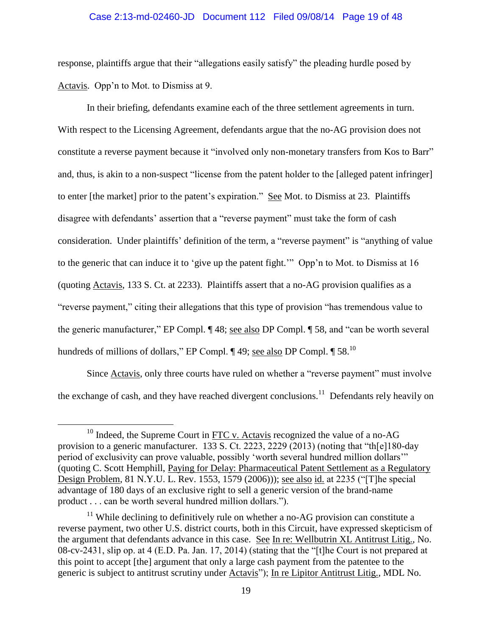#### Case 2:13-md-02460-JD Document 112 Filed 09/08/14 Page 19 of 48

response, plaintiffs argue that their "allegations easily satisfy" the pleading hurdle posed by Actavis. Opp'n to Mot. to Dismiss at 9.

In their briefing, defendants examine each of the three settlement agreements in turn. With respect to the Licensing Agreement, defendants argue that the no-AG provision does not constitute a reverse payment because it "involved only non-monetary transfers from Kos to Barr" and, thus, is akin to a non-suspect "license from the patent holder to the [alleged patent infringer] to enter [the market] prior to the patent's expiration." See Mot. to Dismiss at 23. Plaintiffs disagree with defendants' assertion that a "reverse payment" must take the form of cash consideration. Under plaintiffs' definition of the term, a "reverse payment" is "anything of value to the generic that can induce it to 'give up the patent fight.'" Opp'n to Mot. to Dismiss at 16 (quoting Actavis, 133 S. Ct. at 2233). Plaintiffs assert that a no-AG provision qualifies as a "reverse payment," citing their allegations that this type of provision "has tremendous value to the generic manufacturer," EP Compl. ¶ 48; see also DP Compl. ¶ 58, and "can be worth several hundreds of millions of dollars," EP Compl.  $\P$  49; see also DP Compl.  $\P$  58.<sup>10</sup>

Since **Actavis**, only three courts have ruled on whether a "reverse payment" must involve the exchange of cash, and they have reached divergent conclusions.<sup>11</sup> Defendants rely heavily on

 $^{10}$  Indeed, the Supreme Court in FTC v. Actavis recognized the value of a no-AG provision to a generic manufacturer. 133 S. Ct. 2223, 2229 (2013) (noting that "th[e]180-day period of exclusivity can prove valuable, possibly 'worth several hundred million dollars'" (quoting C. Scott Hemphill, Paying for Delay: Pharmaceutical Patent Settlement as a Regulatory Design Problem, 81 N.Y.U. L. Rev. 1553, 1579 (2006))); see also id. at 2235 ("[T]he special advantage of 180 days of an exclusive right to sell a generic version of the brand-name product . . . can be worth several hundred million dollars.").

 $11$  While declining to definitively rule on whether a no-AG provision can constitute a reverse payment, two other U.S. district courts, both in this Circuit, have expressed skepticism of the argument that defendants advance in this case. See In re: Wellbutrin XL Antitrust Litig., No. 08-cv-2431, slip op. at 4 (E.D. Pa. Jan. 17, 2014) (stating that the "[t]he Court is not prepared at this point to accept [the] argument that only a large cash payment from the patentee to the generic is subject to antitrust scrutiny under Actavis"); In re Lipitor Antitrust Litig., MDL No.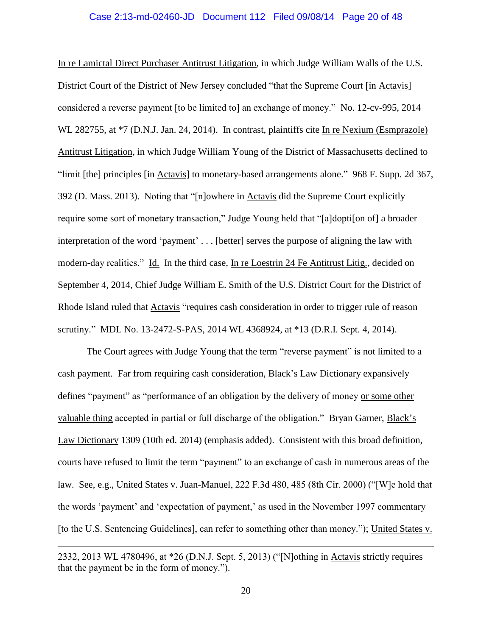In re Lamictal Direct Purchaser Antitrust Litigation, in which Judge William Walls of the U.S. District Court of the District of New Jersey concluded "that the Supreme Court [in Actavis] considered a reverse payment [to be limited to] an exchange of money." No. 12-cv-995, 2014 WL 282755, at \*7 (D.N.J. Jan. 24, 2014). In contrast, plaintiffs cite In re Nexium (Esmprazole) Antitrust Litigation, in which Judge William Young of the District of Massachusetts declined to "limit [the] principles [in Actavis] to monetary-based arrangements alone." 968 F. Supp. 2d 367, 392 (D. Mass. 2013). Noting that "[n]owhere in Actavis did the Supreme Court explicitly require some sort of monetary transaction," Judge Young held that "[a]dopti[on of] a broader interpretation of the word 'payment' . . . [better] serves the purpose of aligning the law with modern-day realities." Id. In the third case, In re Loestrin 24 Fe Antitrust Litig., decided on September 4, 2014, Chief Judge William E. Smith of the U.S. District Court for the District of Rhode Island ruled that Actavis "requires cash consideration in order to trigger rule of reason scrutiny." MDL No. 13-2472-S-PAS, 2014 WL 4368924, at \*13 (D.R.I. Sept. 4, 2014).

The Court agrees with Judge Young that the term "reverse payment" is not limited to a cash payment. Far from requiring cash consideration, Black's Law Dictionary expansively defines "payment" as "performance of an obligation by the delivery of money or some other valuable thing accepted in partial or full discharge of the obligation." Bryan Garner, Black's Law Dictionary 1309 (10th ed. 2014) (emphasis added). Consistent with this broad definition, courts have refused to limit the term "payment" to an exchange of cash in numerous areas of the law. See, e.g., United States v. Juan-Manuel, 222 F.3d 480, 485 (8th Cir. 2000) ("[W]e hold that the words 'payment' and 'expectation of payment,' as used in the November 1997 commentary [to the U.S. Sentencing Guidelines], can refer to something other than money."); United States v.

<sup>2332, 2013</sup> WL 4780496, at \*26 (D.N.J. Sept. 5, 2013) ("[N]othing in Actavis strictly requires that the payment be in the form of money.").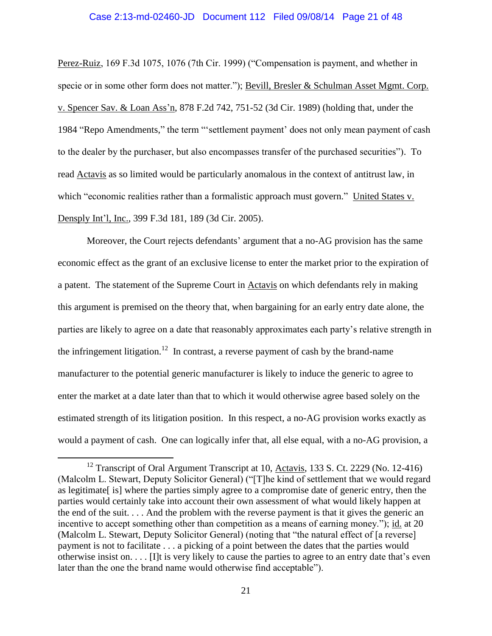#### Case 2:13-md-02460-JD Document 112 Filed 09/08/14 Page 21 of 48

Perez-Ruiz, 169 F.3d 1075, 1076 (7th Cir. 1999) ("Compensation is payment, and whether in specie or in some other form does not matter."); Bevill, Bresler & Schulman Asset Mgmt. Corp. v. Spencer Sav. & Loan Ass'n, 878 F.2d 742, 751-52 (3d Cir. 1989) (holding that, under the 1984 "Repo Amendments," the term "'settlement payment' does not only mean payment of cash to the dealer by the purchaser, but also encompasses transfer of the purchased securities"). To read Actavis as so limited would be particularly anomalous in the context of antitrust law, in which "economic realities rather than a formalistic approach must govern." United States v. Densply Int'l, Inc., 399 F.3d 181, 189 (3d Cir. 2005).

Moreover, the Court rejects defendants' argument that a no-AG provision has the same economic effect as the grant of an exclusive license to enter the market prior to the expiration of a patent. The statement of the Supreme Court in Actavis on which defendants rely in making this argument is premised on the theory that, when bargaining for an early entry date alone, the parties are likely to agree on a date that reasonably approximates each party's relative strength in the infringement litigation.<sup>12</sup> In contrast, a reverse payment of cash by the brand-name manufacturer to the potential generic manufacturer is likely to induce the generic to agree to enter the market at a date later than that to which it would otherwise agree based solely on the estimated strength of its litigation position. In this respect, a no-AG provision works exactly as would a payment of cash. One can logically infer that, all else equal, with a no-AG provision, a

<sup>&</sup>lt;sup>12</sup> Transcript of Oral Argument Transcript at 10, Actavis, 133 S. Ct. 2229 (No. 12-416) (Malcolm L. Stewart, Deputy Solicitor General) ("[T]he kind of settlement that we would regard as legitimate[ is] where the parties simply agree to a compromise date of generic entry, then the parties would certainly take into account their own assessment of what would likely happen at the end of the suit. . . . And the problem with the reverse payment is that it gives the generic an incentive to accept something other than competition as a means of earning money."); id. at 20 (Malcolm L. Stewart, Deputy Solicitor General) (noting that "the natural effect of [a reverse] payment is not to facilitate . . . a picking of a point between the dates that the parties would otherwise insist on. . . . [I]t is very likely to cause the parties to agree to an entry date that's even later than the one the brand name would otherwise find acceptable").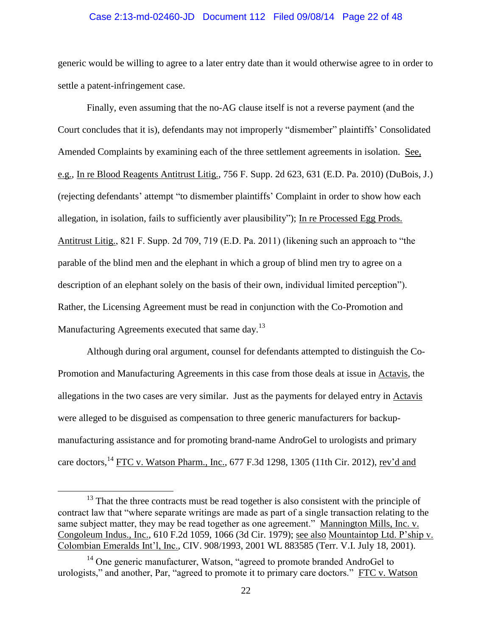#### Case 2:13-md-02460-JD Document 112 Filed 09/08/14 Page 22 of 48

generic would be willing to agree to a later entry date than it would otherwise agree to in order to settle a patent-infringement case.

Finally, even assuming that the no-AG clause itself is not a reverse payment (and the Court concludes that it is), defendants may not improperly "dismember" plaintiffs' Consolidated Amended Complaints by examining each of the three settlement agreements in isolation. See, e.g., In re Blood Reagents Antitrust Litig., 756 F. Supp. 2d 623, 631 (E.D. Pa. 2010) (DuBois, J.) (rejecting defendants' attempt "to dismember plaintiffs' Complaint in order to show how each allegation, in isolation, fails to sufficiently aver plausibility"); In re Processed Egg Prods. Antitrust Litig., 821 F. Supp. 2d 709, 719 (E.D. Pa. 2011) (likening such an approach to "the parable of the blind men and the elephant in which a group of blind men try to agree on a description of an elephant solely on the basis of their own, individual limited perception"). Rather, the Licensing Agreement must be read in conjunction with the Co-Promotion and Manufacturing Agreements executed that same day. $^{13}$ 

Although during oral argument, counsel for defendants attempted to distinguish the Co-Promotion and Manufacturing Agreements in this case from those deals at issue in Actavis, the allegations in the two cases are very similar. Just as the payments for delayed entry in Actavis were alleged to be disguised as compensation to three generic manufacturers for backupmanufacturing assistance and for promoting brand-name AndroGel to urologists and primary care doctors, <sup>14</sup> FTC v. Watson Pharm., Inc., 677 F.3d 1298, 1305 (11th Cir. 2012), <u>rev'd and</u>

<sup>&</sup>lt;sup>13</sup> That the three contracts must be read together is also consistent with the principle of contract law that "where separate writings are made as part of a single transaction relating to the same subject matter, they may be read together as one agreement." Mannington Mills, Inc. v. Congoleum Indus., Inc., 610 F.2d 1059, 1066 (3d Cir. 1979); see also Mountaintop Ltd. P'ship v. Colombian Emeralds Int'l, Inc., CIV. 908/1993, 2001 WL 883585 (Terr. V.I. July 18, 2001).

 $14$  One generic manufacturer, Watson, "agreed to promote branded AndroGel to urologists," and another, Par, "agreed to promote it to primary care doctors." FTC v. Watson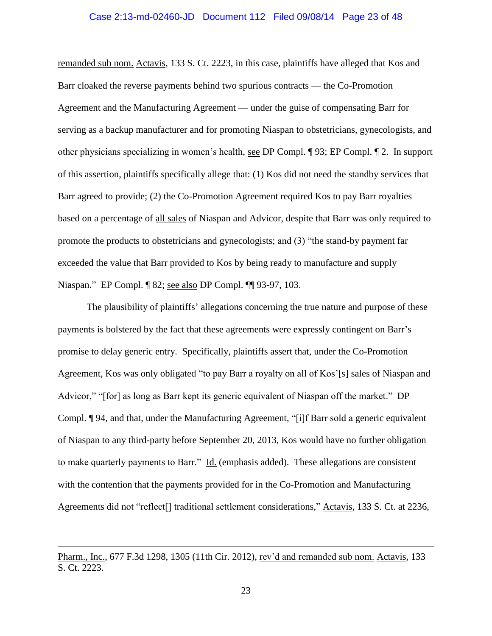#### Case 2:13-md-02460-JD Document 112 Filed 09/08/14 Page 23 of 48

remanded sub nom. Actavis, 133 S. Ct. 2223, in this case, plaintiffs have alleged that Kos and Barr cloaked the reverse payments behind two spurious contracts — the Co-Promotion Agreement and the Manufacturing Agreement — under the guise of compensating Barr for serving as a backup manufacturer and for promoting Niaspan to obstetricians, gynecologists, and other physicians specializing in women's health, see DP Compl. ¶ 93; EP Compl. ¶ 2. In support of this assertion, plaintiffs specifically allege that: (1) Kos did not need the standby services that Barr agreed to provide; (2) the Co-Promotion Agreement required Kos to pay Barr royalties based on a percentage of all sales of Niaspan and Advicor, despite that Barr was only required to promote the products to obstetricians and gynecologists; and (3) "the stand-by payment far exceeded the value that Barr provided to Kos by being ready to manufacture and supply Niaspan." EP Compl. ¶ 82; see also DP Compl. ¶¶ 93-97, 103.

The plausibility of plaintiffs' allegations concerning the true nature and purpose of these payments is bolstered by the fact that these agreements were expressly contingent on Barr's promise to delay generic entry. Specifically, plaintiffs assert that, under the Co-Promotion Agreement, Kos was only obligated "to pay Barr a royalty on all of Kos'[s] sales of Niaspan and Advicor," "[for] as long as Barr kept its generic equivalent of Niaspan off the market." DP Compl. ¶ 94, and that, under the Manufacturing Agreement, "[i]f Barr sold a generic equivalent of Niaspan to any third-party before September 20, 2013, Kos would have no further obligation to make quarterly payments to Barr." Id. (emphasis added). These allegations are consistent with the contention that the payments provided for in the Co-Promotion and Manufacturing Agreements did not "reflect<sup>[]</sup> traditional settlement considerations," Actavis, 133 S. Ct. at 2236,

Pharm., Inc., 677 F.3d 1298, 1305 (11th Cir. 2012), rev'd and remanded sub nom. Actavis, 133 S. Ct. 2223.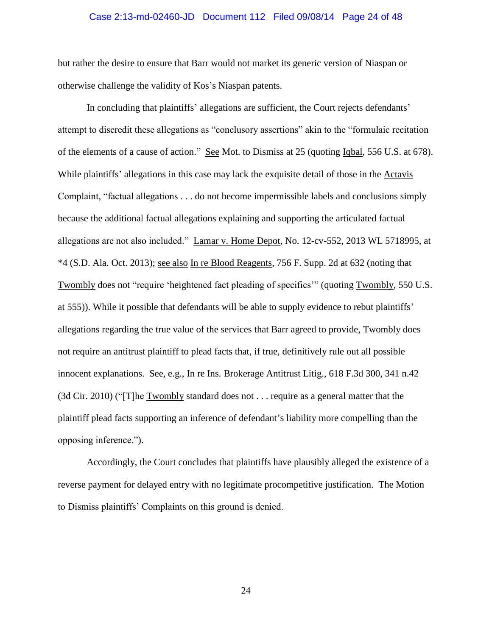### Case 2:13-md-02460-JD Document 112 Filed 09/08/14 Page 24 of 48

but rather the desire to ensure that Barr would not market its generic version of Niaspan or otherwise challenge the validity of Kos's Niaspan patents.

In concluding that plaintiffs' allegations are sufficient, the Court rejects defendants' attempt to discredit these allegations as "conclusory assertions" akin to the "formulaic recitation of the elements of a cause of action." See Mot. to Dismiss at 25 (quoting Iqbal, 556 U.S. at 678). While plaintiffs' allegations in this case may lack the exquisite detail of those in the Actavis Complaint, "factual allegations . . . do not become impermissible labels and conclusions simply because the additional factual allegations explaining and supporting the articulated factual allegations are not also included." Lamar v. Home Depot, No. 12-cv-552, 2013 WL 5718995, at \*4 (S.D. Ala. Oct. 2013); see also In re Blood Reagents, 756 F. Supp. 2d at 632 (noting that Twombly does not "require 'heightened fact pleading of specifics'" (quoting Twombly, 550 U.S. at 555)). While it possible that defendants will be able to supply evidence to rebut plaintiffs' allegations regarding the true value of the services that Barr agreed to provide, Twombly does not require an antitrust plaintiff to plead facts that, if true, definitively rule out all possible innocent explanations. See, e.g., In re Ins. Brokerage Antitrust Litig., 618 F.3d 300, 341 n.42 (3d Cir. 2010) ("[T]he Twombly standard does not . . . require as a general matter that the plaintiff plead facts supporting an inference of defendant's liability more compelling than the opposing inference.").

Accordingly, the Court concludes that plaintiffs have plausibly alleged the existence of a reverse payment for delayed entry with no legitimate procompetitive justification. The Motion to Dismiss plaintiffs' Complaints on this ground is denied.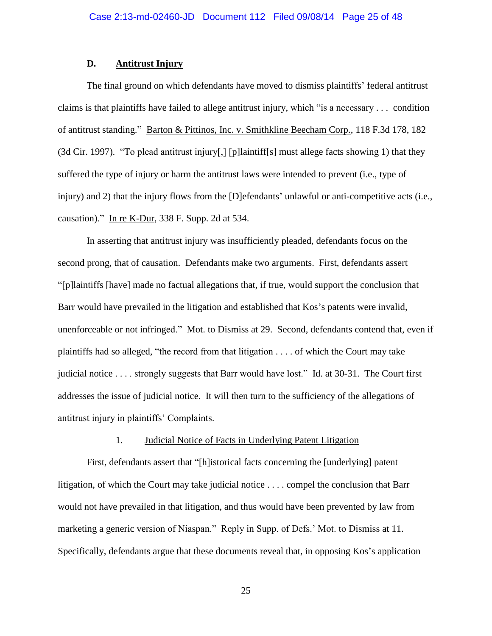# **D. Antitrust Injury**

The final ground on which defendants have moved to dismiss plaintiffs' federal antitrust claims is that plaintiffs have failed to allege antitrust injury, which "is a necessary . . . condition of antitrust standing." Barton & Pittinos, Inc. v. Smithkline Beecham Corp., 118 F.3d 178, 182 (3d Cir. 1997). "To plead antitrust injury[,] [p]laintiff[s] must allege facts showing 1) that they suffered the type of injury or harm the antitrust laws were intended to prevent (i.e., type of injury) and 2) that the injury flows from the [D]efendants' unlawful or anti-competitive acts (i.e., causation)." In re K-Dur, 338 F. Supp. 2d at 534.

In asserting that antitrust injury was insufficiently pleaded, defendants focus on the second prong, that of causation. Defendants make two arguments. First, defendants assert "[p]laintiffs [have] made no factual allegations that, if true, would support the conclusion that Barr would have prevailed in the litigation and established that Kos's patents were invalid, unenforceable or not infringed." Mot. to Dismiss at 29. Second, defendants contend that, even if plaintiffs had so alleged, "the record from that litigation . . . . of which the Court may take judicial notice . . . . strongly suggests that Barr would have lost." Id. at 30-31. The Court first addresses the issue of judicial notice. It will then turn to the sufficiency of the allegations of antitrust injury in plaintiffs' Complaints.

### 1. Judicial Notice of Facts in Underlying Patent Litigation

First, defendants assert that "[h]istorical facts concerning the [underlying] patent litigation, of which the Court may take judicial notice . . . . compel the conclusion that Barr would not have prevailed in that litigation, and thus would have been prevented by law from marketing a generic version of Niaspan." Reply in Supp. of Defs.' Mot. to Dismiss at 11. Specifically, defendants argue that these documents reveal that, in opposing Kos's application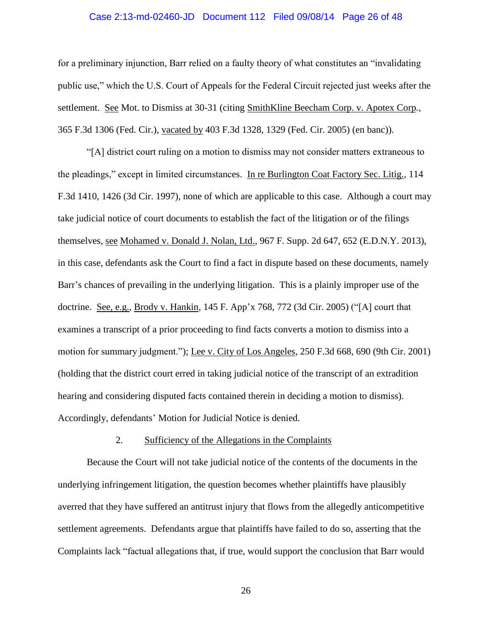### Case 2:13-md-02460-JD Document 112 Filed 09/08/14 Page 26 of 48

for a preliminary injunction, Barr relied on a faulty theory of what constitutes an "invalidating public use," which the U.S. Court of Appeals for the Federal Circuit rejected just weeks after the settlement. See Mot. to Dismiss at 30-31 (citing SmithKline Beecham Corp. v. Apotex Corp*.*, 365 F.3d 1306 (Fed. Cir.), vacated by 403 F.3d 1328, 1329 (Fed. Cir. 2005) (en banc)).

"[A] district court ruling on a motion to dismiss may not consider matters extraneous to the pleadings," except in limited circumstances. In re Burlington Coat Factory Sec. Litig., 114 F.3d 1410, 1426 (3d Cir. 1997), none of which are applicable to this case. Although a court may take judicial notice of court documents to establish the fact of the litigation or of the filings themselves, see Mohamed v. Donald J. Nolan, Ltd., 967 F. Supp. 2d 647, 652 (E.D.N.Y. 2013), in this case, defendants ask the Court to find a fact in dispute based on these documents, namely Barr's chances of prevailing in the underlying litigation. This is a plainly improper use of the doctrine. See, e.g., Brody v. Hankin, 145 F. App'x 768, 772 (3d Cir. 2005) ("[A] court that examines a transcript of a prior proceeding to find facts converts a motion to dismiss into a motion for summary judgment."); Lee v. City of Los Angeles, 250 F.3d 668, 690 (9th Cir. 2001) (holding that the district court erred in taking judicial notice of the transcript of an extradition hearing and considering disputed facts contained therein in deciding a motion to dismiss). Accordingly, defendants' Motion for Judicial Notice is denied.

### 2. Sufficiency of the Allegations in the Complaints

Because the Court will not take judicial notice of the contents of the documents in the underlying infringement litigation, the question becomes whether plaintiffs have plausibly averred that they have suffered an antitrust injury that flows from the allegedly anticompetitive settlement agreements. Defendants argue that plaintiffs have failed to do so, asserting that the Complaints lack "factual allegations that, if true, would support the conclusion that Barr would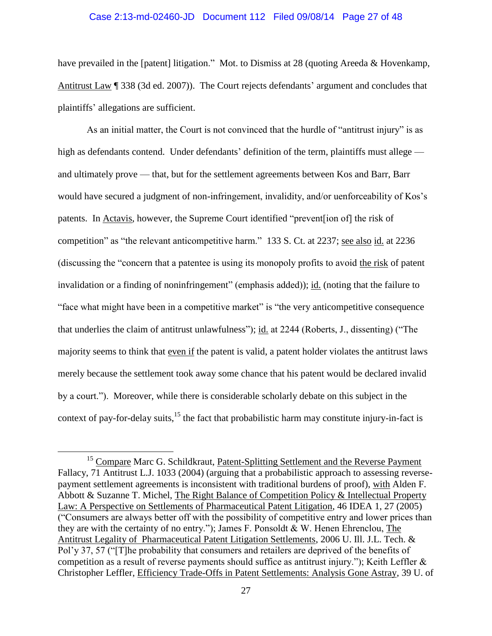#### Case 2:13-md-02460-JD Document 112 Filed 09/08/14 Page 27 of 48

have prevailed in the [patent] litigation." Mot. to Dismiss at 28 (quoting Areeda & Hovenkamp, Antitrust Law ¶ 338 (3d ed. 2007)). The Court rejects defendants' argument and concludes that plaintiffs' allegations are sufficient.

As an initial matter, the Court is not convinced that the hurdle of "antitrust injury" is as high as defendants contend. Under defendants' definition of the term, plaintiffs must allege and ultimately prove — that, but for the settlement agreements between Kos and Barr, Barr would have secured a judgment of non-infringement, invalidity, and/or uenforceability of Kos's patents. In Actavis, however, the Supreme Court identified "prevent[ion of] the risk of competition" as "the relevant anticompetitive harm." 133 S. Ct. at 2237; see also id. at 2236 (discussing the "concern that a patentee is using its monopoly profits to avoid the risk of patent invalidation or a finding of noninfringement" (emphasis added)); id. (noting that the failure to "face what might have been in a competitive market" is "the very anticompetitive consequence that underlies the claim of antitrust unlawfulness"); id. at 2244 (Roberts, J., dissenting) ("The majority seems to think that even if the patent is valid, a patent holder violates the antitrust laws merely because the settlement took away some chance that his patent would be declared invalid by a court."). Moreover, while there is considerable scholarly debate on this subject in the context of pay-for-delay suits, $15$  the fact that probabilistic harm may constitute injury-in-fact is

<sup>&</sup>lt;sup>15</sup> Compare Marc G. Schildkraut, Patent-Splitting Settlement and the Reverse Payment Fallacy, 71 Antitrust L.J. 1033 (2004) (arguing that a probabilistic approach to assessing reversepayment settlement agreements is inconsistent with traditional burdens of proof), with Alden F. Abbott & Suzanne T. Michel, The Right Balance of Competition Policy & Intellectual Property Law: A Perspective on Settlements of Pharmaceutical Patent Litigation, 46 IDEA 1, 27 (2005) ("Consumers are always better off with the possibility of competitive entry and lower prices than they are with the certainty of no entry."); James F. Ponsoldt & W. Henen Ehrenclou, The Antitrust Legality of Pharmaceutical Patent Litigation Settlements, 2006 U. Ill. J.L. Tech. & Pol'y 37, 57 ("[T]he probability that consumers and retailers are deprived of the benefits of competition as a result of reverse payments should suffice as antitrust injury."); Keith Leffler  $\&$ Christopher Leffler, Efficiency Trade-Offs in Patent Settlements: Analysis Gone Astray, 39 U. of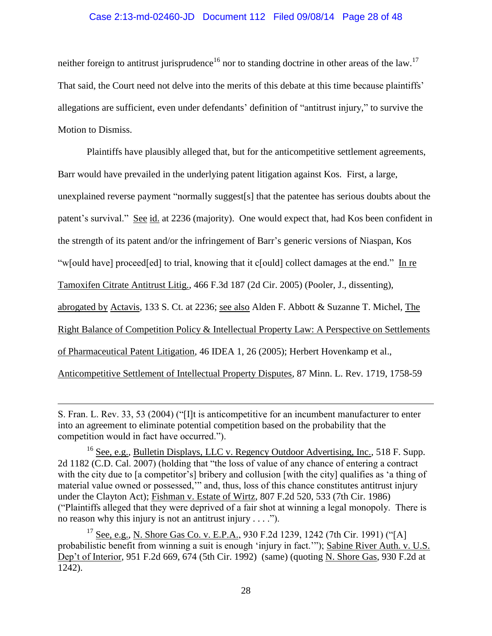# Case 2:13-md-02460-JD Document 112 Filed 09/08/14 Page 28 of 48

neither foreign to antitrust jurisprudence<sup>16</sup> nor to standing doctrine in other areas of the law.<sup>17</sup> That said, the Court need not delve into the merits of this debate at this time because plaintiffs' allegations are sufficient, even under defendants' definition of "antitrust injury," to survive the Motion to Dismiss.

Plaintiffs have plausibly alleged that, but for the anticompetitive settlement agreements, Barr would have prevailed in the underlying patent litigation against Kos. First, a large, unexplained reverse payment "normally suggest[s] that the patentee has serious doubts about the patent's survival." See id. at 2236 (majority). One would expect that, had Kos been confident in the strength of its patent and/or the infringement of Barr's generic versions of Niaspan, Kos "w[ould have] proceed[ed] to trial, knowing that it c[ould] collect damages at the end." In re Tamoxifen Citrate Antitrust Litig., 466 F.3d 187 (2d Cir. 2005) (Pooler, J., dissenting), abrogated by Actavis, 133 S. Ct. at 2236; see also Alden F. Abbott & Suzanne T. Michel, The Right Balance of Competition Policy & Intellectual Property Law: A Perspective on Settlements of Pharmaceutical Patent Litigation, 46 IDEA 1, 26 (2005); Herbert Hovenkamp et al., Anticompetitive Settlement of Intellectual Property Disputes, 87 Minn. L. Rev. 1719, 1758-59

S. Fran. L. Rev. 33, 53 (2004) ("[I]t is anticompetitive for an incumbent manufacturer to enter into an agreement to eliminate potential competition based on the probability that the competition would in fact have occurred.").

<sup>&</sup>lt;sup>16</sup> See, e.g., Bulletin Displays, LLC v. Regency Outdoor Advertising, Inc., 518 F. Supp. 2d 1182 (C.D. Cal. 2007) (holding that "the loss of value of any chance of entering a contract with the city due to [a competitor's] bribery and collusion [with the city] qualifies as 'a thing of material value owned or possessed,'" and, thus, loss of this chance constitutes antitrust injury under the Clayton Act); Fishman v. Estate of Wirtz, 807 F.2d 520, 533 (7th Cir. 1986) ("Plaintiffs alleged that they were deprived of a fair shot at winning a legal monopoly. There is no reason why this injury is not an antitrust injury  $\dots$ .").

<sup>&</sup>lt;sup>17</sup> See, e.g., N. Shore Gas Co. v. E.P.A., 930 F.2d 1239, 1242 (7th Cir. 1991) ("[A] probabilistic benefit from winning a suit is enough 'injury in fact.'"); Sabine River Auth. v. U.S. Dep't of Interior, 951 F.2d 669, 674 (5th Cir. 1992) (same) (quoting N. Shore Gas, 930 F.2d at 1242).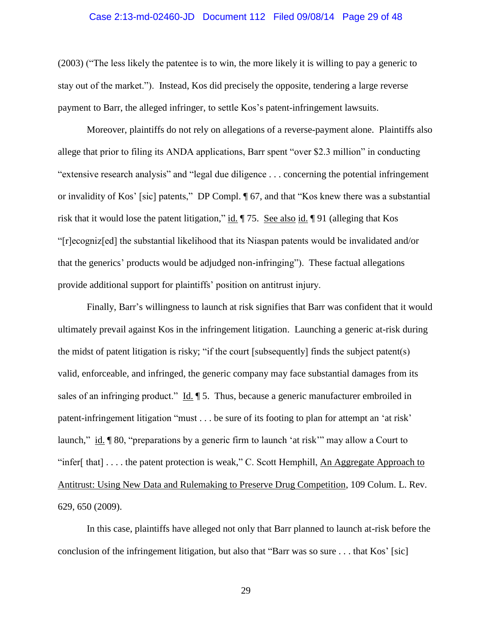### Case 2:13-md-02460-JD Document 112 Filed 09/08/14 Page 29 of 48

(2003) ("The less likely the patentee is to win, the more likely it is willing to pay a generic to stay out of the market."). Instead, Kos did precisely the opposite, tendering a large reverse payment to Barr, the alleged infringer, to settle Kos's patent-infringement lawsuits.

Moreover, plaintiffs do not rely on allegations of a reverse-payment alone. Plaintiffs also allege that prior to filing its ANDA applications, Barr spent "over \$2.3 million" in conducting "extensive research analysis" and "legal due diligence . . . concerning the potential infringement or invalidity of Kos' [sic] patents," DP Compl. ¶ 67, and that "Kos knew there was a substantial risk that it would lose the patent litigation," id.  $\parallel$  75. See also id.  $\parallel$  91 (alleging that Kos "[r]ecogniz[ed] the substantial likelihood that its Niaspan patents would be invalidated and/or that the generics' products would be adjudged non-infringing"). These factual allegations provide additional support for plaintiffs' position on antitrust injury.

Finally, Barr's willingness to launch at risk signifies that Barr was confident that it would ultimately prevail against Kos in the infringement litigation. Launching a generic at-risk during the midst of patent litigation is risky; "if the court [subsequently] finds the subject patent(s) valid, enforceable, and infringed, the generic company may face substantial damages from its sales of an infringing product." Id. ¶ 5. Thus, because a generic manufacturer embroiled in patent-infringement litigation "must . . . be sure of its footing to plan for attempt an 'at risk' launch," id. ¶ 80, "preparations by a generic firm to launch 'at risk'" may allow a Court to "infer[ that]  $\dots$  the patent protection is weak," C. Scott Hemphill, An Aggregate Approach to Antitrust: Using New Data and Rulemaking to Preserve Drug Competition, 109 Colum. L. Rev. 629, 650 (2009).

In this case, plaintiffs have alleged not only that Barr planned to launch at-risk before the conclusion of the infringement litigation, but also that "Barr was so sure . . . that Kos' [sic]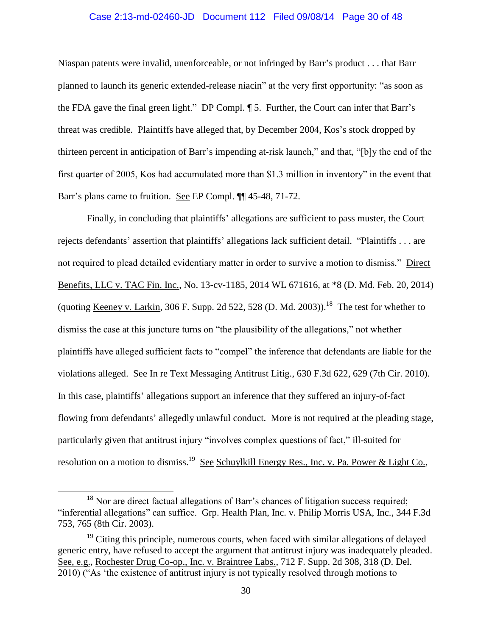### Case 2:13-md-02460-JD Document 112 Filed 09/08/14 Page 30 of 48

Niaspan patents were invalid, unenforceable, or not infringed by Barr's product . . . that Barr planned to launch its generic extended-release niacin" at the very first opportunity: "as soon as the FDA gave the final green light." DP Compl. ¶ 5. Further, the Court can infer that Barr's threat was credible. Plaintiffs have alleged that, by December 2004, Kos's stock dropped by thirteen percent in anticipation of Barr's impending at-risk launch," and that, "[b]y the end of the first quarter of 2005, Kos had accumulated more than \$1.3 million in inventory" in the event that Barr's plans came to fruition. See EP Compl. ¶¶ 45-48, 71-72.

Finally, in concluding that plaintiffs' allegations are sufficient to pass muster, the Court rejects defendants' assertion that plaintiffs' allegations lack sufficient detail. "Plaintiffs . . . are not required to plead detailed evidentiary matter in order to survive a motion to dismiss." Direct Benefits, LLC v. TAC Fin. Inc., No. 13-cv-1185, 2014 WL 671616, at \*8 (D. Md. Feb. 20, 2014) (quoting <u>Keeney v. Larkin</u>, 306 F. Supp. 2d 522, 528 (D. Md. 2003)).<sup>18</sup> The test for whether to dismiss the case at this juncture turns on "the plausibility of the allegations," not whether plaintiffs have alleged sufficient facts to "compel" the inference that defendants are liable for the violations alleged. See In re Text Messaging Antitrust Litig., 630 F.3d 622, 629 (7th Cir. 2010). In this case, plaintiffs' allegations support an inference that they suffered an injury-of-fact flowing from defendants' allegedly unlawful conduct. More is not required at the pleading stage, particularly given that antitrust injury "involves complex questions of fact," ill-suited for resolution on a motion to dismiss.<sup>19</sup> See Schuylkill Energy Res., Inc. v. Pa. Power & Light Co.,

<sup>&</sup>lt;sup>18</sup> Nor are direct factual allegations of Barr's chances of litigation success required; "inferential allegations" can suffice. Grp. Health Plan, Inc. v. Philip Morris USA, Inc., 344 F.3d 753, 765 (8th Cir. 2003).

 $19$  Citing this principle, numerous courts, when faced with similar allegations of delayed generic entry, have refused to accept the argument that antitrust injury was inadequately pleaded. See, e.g., Rochester Drug Co-op., Inc. v. Braintree Labs., 712 F. Supp. 2d 308, 318 (D. Del. 2010) ("As 'the existence of antitrust injury is not typically resolved through motions to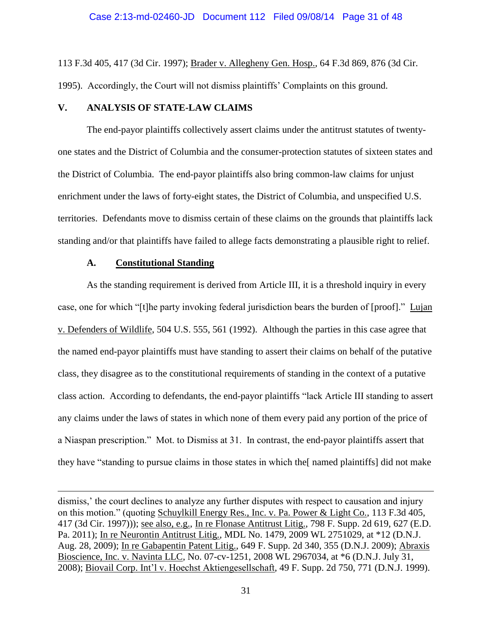113 F.3d 405, 417 (3d Cir. 1997); Brader v. Allegheny Gen. Hosp., 64 F.3d 869, 876 (3d Cir. 1995). Accordingly, the Court will not dismiss plaintiffs' Complaints on this ground.

# **V. ANALYSIS OF STATE-LAW CLAIMS**

The end-payor plaintiffs collectively assert claims under the antitrust statutes of twentyone states and the District of Columbia and the consumer-protection statutes of sixteen states and the District of Columbia. The end-payor plaintiffs also bring common-law claims for unjust enrichment under the laws of forty-eight states, the District of Columbia, and unspecified U.S. territories. Defendants move to dismiss certain of these claims on the grounds that plaintiffs lack standing and/or that plaintiffs have failed to allege facts demonstrating a plausible right to relief.

### **A. Constitutional Standing**

 $\overline{a}$ 

As the standing requirement is derived from Article III, it is a threshold inquiry in every case, one for which "[t]he party invoking federal jurisdiction bears the burden of [proof]." Lujan v. Defenders of Wildlife, 504 U.S. 555, 561 (1992). Although the parties in this case agree that the named end-payor plaintiffs must have standing to assert their claims on behalf of the putative class, they disagree as to the constitutional requirements of standing in the context of a putative class action. According to defendants, the end-payor plaintiffs "lack Article III standing to assert any claims under the laws of states in which none of them every paid any portion of the price of a Niaspan prescription." Mot. to Dismiss at 31. In contrast, the end-payor plaintiffs assert that they have "standing to pursue claims in those states in which the[ named plaintiffs] did not make

dismiss,' the court declines to analyze any further disputes with respect to causation and injury on this motion." (quoting Schuylkill Energy Res., Inc. v. Pa. Power & Light Co., 113 F.3d 405, 417 (3d Cir. 1997))); see also, e.g., In re Flonase Antitrust Litig., 798 F. Supp. 2d 619, 627 (E.D. Pa. 2011); In re Neurontin Antitrust Litig., MDL No. 1479, 2009 WL 2751029, at \*12 (D.N.J. Aug. 28, 2009); In re Gabapentin Patent Litig., 649 F. Supp. 2d 340, 355 (D.N.J. 2009); Abraxis Bioscience, Inc. v. Navinta LLC, No. 07-cv-1251, 2008 WL 2967034, at \*6 (D.N.J. July 31, 2008); Biovail Corp. Int'l v. Hoechst Aktiengesellschaft, 49 F. Supp. 2d 750, 771 (D.N.J. 1999).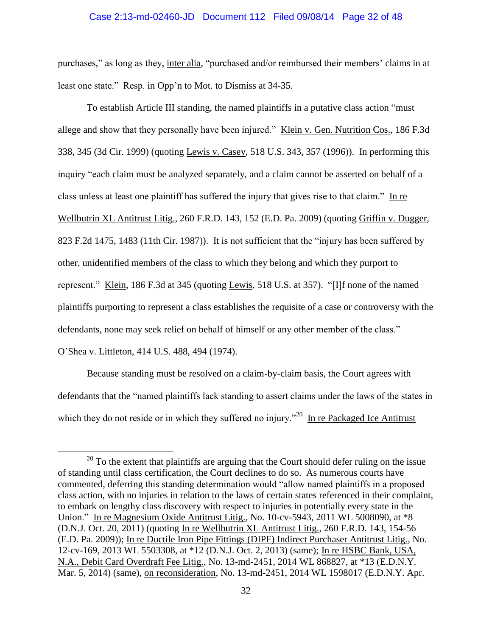#### Case 2:13-md-02460-JD Document 112 Filed 09/08/14 Page 32 of 48

purchases," as long as they, inter alia, "purchased and/or reimbursed their members' claims in at least one state." Resp. in Opp'n to Mot. to Dismiss at 34-35.

To establish Article III standing, the named plaintiffs in a putative class action "must allege and show that they personally have been injured." Klein v. Gen. Nutrition Cos., 186 F.3d 338, 345 (3d Cir. 1999) (quoting Lewis v. Casey, 518 U.S. 343, 357 (1996)). In performing this inquiry "each claim must be analyzed separately, and a claim cannot be asserted on behalf of a class unless at least one plaintiff has suffered the injury that gives rise to that claim." In re Wellbutrin XL Antitrust Litig., 260 F.R.D. 143, 152 (E.D. Pa. 2009) (quoting Griffin v. Dugger, 823 F.2d 1475, 1483 (11th Cir. 1987)). It is not sufficient that the "injury has been suffered by other, unidentified members of the class to which they belong and which they purport to represent." Klein, 186 F.3d at 345 (quoting Lewis, 518 U.S. at 357). "[I]f none of the named plaintiffs purporting to represent a class establishes the requisite of a case or controversy with the defendants, none may seek relief on behalf of himself or any other member of the class." O'Shea v. Littleton, 414 U.S. 488, 494 (1974).

Because standing must be resolved on a claim-by-claim basis, the Court agrees with defendants that the "named plaintiffs lack standing to assert claims under the laws of the states in which they do not reside or in which they suffered no injury."<sup>20</sup> In re Packaged Ice Antitrust

 $20$  To the extent that plaintiffs are arguing that the Court should defer ruling on the issue of standing until class certification, the Court declines to do so. As numerous courts have commented, deferring this standing determination would "allow named plaintiffs in a proposed class action, with no injuries in relation to the laws of certain states referenced in their complaint, to embark on lengthy class discovery with respect to injuries in potentially every state in the Union." In re Magnesium Oxide Antitrust Litig., No. 10-cv-5943, 2011 WL 5008090, at \*8 (D.N.J. Oct. 20, 2011) (quoting In re Wellbutrin XL Antitrust Litig., 260 F.R.D. 143, 154-56 (E.D. Pa. 2009)); In re Ductile Iron Pipe Fittings (DIPF) Indirect Purchaser Antitrust Litig., No. 12-cv-169, 2013 WL 5503308, at \*12 (D.N.J. Oct. 2, 2013) (same); In re HSBC Bank, USA, N.A., Debit Card Overdraft Fee Litig., No. 13-md-2451, 2014 WL 868827, at \*13 (E.D.N.Y. Mar. 5, 2014) (same), on reconsideration, No. 13-md-2451, 2014 WL 1598017 (E.D.N.Y. Apr.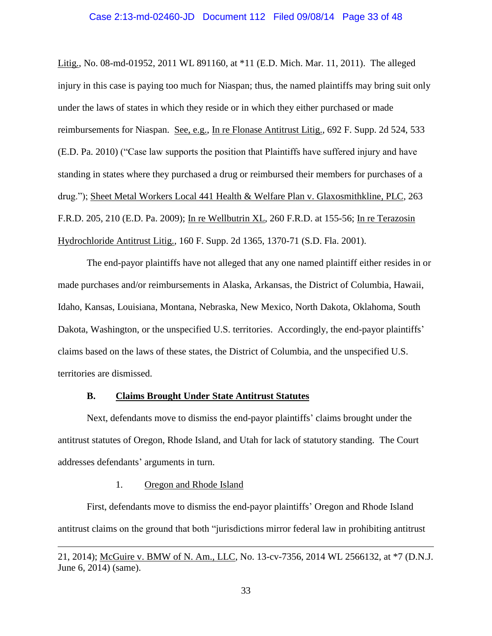### Case 2:13-md-02460-JD Document 112 Filed 09/08/14 Page 33 of 48

Litig., No. 08-md-01952, 2011 WL 891160, at \*11 (E.D. Mich. Mar. 11, 2011). The alleged injury in this case is paying too much for Niaspan; thus, the named plaintiffs may bring suit only under the laws of states in which they reside or in which they either purchased or made reimbursements for Niaspan. See, e.g., In re Flonase Antitrust Litig., 692 F. Supp. 2d 524, 533 (E.D. Pa. 2010) ("Case law supports the position that Plaintiffs have suffered injury and have standing in states where they purchased a drug or reimbursed their members for purchases of a drug."); Sheet Metal Workers Local 441 Health & Welfare Plan v. Glaxosmithkline, PLC, 263 F.R.D. 205, 210 (E.D. Pa. 2009); In re Wellbutrin XL, 260 F.R.D. at 155-56; In re Terazosin Hydrochloride Antitrust Litig., 160 F. Supp. 2d 1365, 1370-71 (S.D. Fla. 2001).

The end-payor plaintiffs have not alleged that any one named plaintiff either resides in or made purchases and/or reimbursements in Alaska, Arkansas, the District of Columbia, Hawaii, Idaho, Kansas, Louisiana, Montana, Nebraska, New Mexico, North Dakota, Oklahoma, South Dakota, Washington, or the unspecified U.S. territories. Accordingly, the end-payor plaintiffs' claims based on the laws of these states, the District of Columbia, and the unspecified U.S. territories are dismissed.

### **B. Claims Brought Under State Antitrust Statutes**

Next, defendants move to dismiss the end-payor plaintiffs' claims brought under the antitrust statutes of Oregon, Rhode Island, and Utah for lack of statutory standing. The Court addresses defendants' arguments in turn.

### 1. Oregon and Rhode Island

 $\overline{a}$ 

First, defendants move to dismiss the end-payor plaintiffs' Oregon and Rhode Island antitrust claims on the ground that both "jurisdictions mirror federal law in prohibiting antitrust

<sup>21, 2014);</sup> McGuire v. BMW of N. Am., LLC, No. 13-cv-7356, 2014 WL 2566132, at \*7 (D.N.J. June 6, 2014) (same).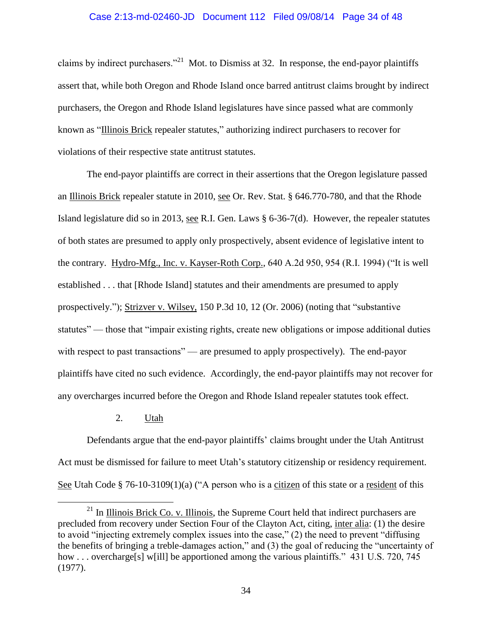#### Case 2:13-md-02460-JD Document 112 Filed 09/08/14 Page 34 of 48

claims by indirect purchasers."<sup>21</sup> Mot. to Dismiss at 32. In response, the end-payor plaintiffs assert that, while both Oregon and Rhode Island once barred antitrust claims brought by indirect purchasers, the Oregon and Rhode Island legislatures have since passed what are commonly known as "Illinois Brick repealer statutes," authorizing indirect purchasers to recover for violations of their respective state antitrust statutes.

The end-payor plaintiffs are correct in their assertions that the Oregon legislature passed an Illinois Brick repealer statute in 2010, see Or. Rev. Stat. § 646.770-780, and that the Rhode Island legislature did so in 2013, see R.I. Gen. Laws § 6-36-7(d). However, the repealer statutes of both states are presumed to apply only prospectively, absent evidence of legislative intent to the contrary. Hydro-Mfg., Inc. v. Kayser-Roth Corp., 640 A.2d 950, 954 (R.I. 1994) ("It is well established . . . that [Rhode Island] statutes and their amendments are presumed to apply prospectively."); Strizver v. Wilsey, 150 P.3d 10, 12 (Or. 2006) (noting that "substantive statutes" — those that "impair existing rights, create new obligations or impose additional duties with respect to past transactions" — are presumed to apply prospectively). The end-payor plaintiffs have cited no such evidence. Accordingly, the end-payor plaintiffs may not recover for any overcharges incurred before the Oregon and Rhode Island repealer statutes took effect.

2. Utah

 $\overline{a}$ 

Defendants argue that the end-payor plaintiffs' claims brought under the Utah Antitrust Act must be dismissed for failure to meet Utah's statutory citizenship or residency requirement. See Utah Code § 76-10-3109(1)(a) ("A person who is a citizen of this state or a resident of this

 $^{21}$  In Illinois Brick Co. v. Illinois, the Supreme Court held that indirect purchasers are precluded from recovery under Section Four of the Clayton Act, citing, inter alia: (1) the desire to avoid "injecting extremely complex issues into the case," (2) the need to prevent "diffusing the benefits of bringing a treble-damages action," and (3) the goal of reducing the "uncertainty of how . . . overcharge<sup>[s]</sup> w[ill] be apportioned among the various plaintiffs." 431 U.S. 720, 745 (1977).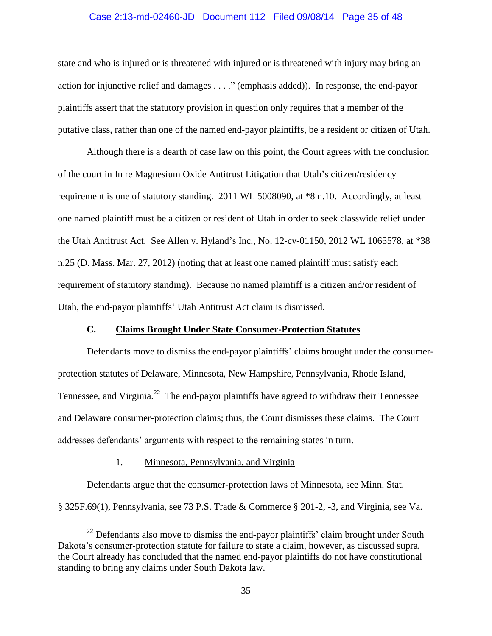### Case 2:13-md-02460-JD Document 112 Filed 09/08/14 Page 35 of 48

state and who is injured or is threatened with injured or is threatened with injury may bring an action for injunctive relief and damages . . . ." (emphasis added)). In response, the end-payor plaintiffs assert that the statutory provision in question only requires that a member of the putative class, rather than one of the named end-payor plaintiffs, be a resident or citizen of Utah.

Although there is a dearth of case law on this point, the Court agrees with the conclusion of the court in In re Magnesium Oxide Antitrust Litigation that Utah's citizen/residency requirement is one of statutory standing. 2011 WL 5008090, at \*8 n.10. Accordingly, at least one named plaintiff must be a citizen or resident of Utah in order to seek classwide relief under the Utah Antitrust Act. See Allen v. Hyland's Inc., No. 12-cv-01150, 2012 WL 1065578, at \*38 n.25 (D. Mass. Mar. 27, 2012) (noting that at least one named plaintiff must satisfy each requirement of statutory standing). Because no named plaintiff is a citizen and/or resident of Utah, the end-payor plaintiffs' Utah Antitrust Act claim is dismissed.

### **C. Claims Brought Under State Consumer-Protection Statutes**

Defendants move to dismiss the end-payor plaintiffs' claims brought under the consumerprotection statutes of Delaware, Minnesota, New Hampshire, Pennsylvania, Rhode Island, Tennessee, and Virginia.<sup>22</sup> The end-payor plaintiffs have agreed to withdraw their Tennessee and Delaware consumer-protection claims; thus, the Court dismisses these claims. The Court addresses defendants' arguments with respect to the remaining states in turn.

### 1. Minnesota, Pennsylvania, and Virginia

 $\overline{a}$ 

Defendants argue that the consumer-protection laws of Minnesota, see Minn. Stat. § 325F.69(1), Pennsylvania, see 73 P.S. Trade & Commerce § 201-2, -3, and Virginia, see Va.

 $22$  Defendants also move to dismiss the end-payor plaintiffs' claim brought under South Dakota's consumer-protection statute for failure to state a claim, however, as discussed supra, the Court already has concluded that the named end-payor plaintiffs do not have constitutional standing to bring any claims under South Dakota law.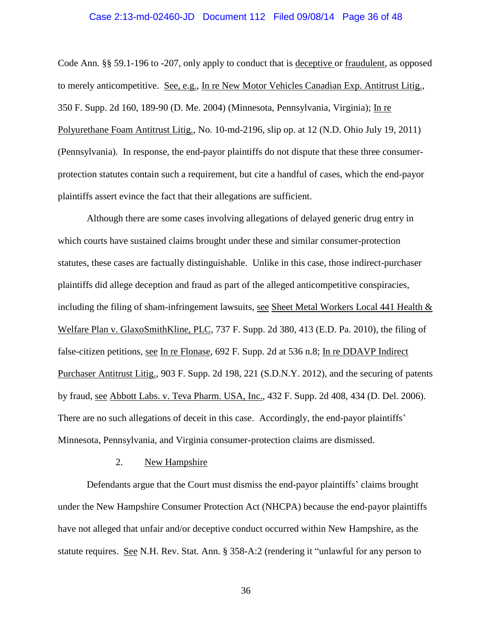### Case 2:13-md-02460-JD Document 112 Filed 09/08/14 Page 36 of 48

Code Ann. §§ 59.1-196 to -207, only apply to conduct that is deceptive or fraudulent, as opposed to merely anticompetitive. See, e.g., In re New Motor Vehicles Canadian Exp. Antitrust Litig., 350 F. Supp. 2d 160, 189-90 (D. Me. 2004) (Minnesota, Pennsylvania, Virginia); In re Polyurethane Foam Antitrust Litig., No. 10-md-2196, slip op. at 12 (N.D. Ohio July 19, 2011) (Pennsylvania). In response, the end-payor plaintiffs do not dispute that these three consumerprotection statutes contain such a requirement, but cite a handful of cases, which the end-payor plaintiffs assert evince the fact that their allegations are sufficient.

Although there are some cases involving allegations of delayed generic drug entry in which courts have sustained claims brought under these and similar consumer-protection statutes, these cases are factually distinguishable. Unlike in this case, those indirect-purchaser plaintiffs did allege deception and fraud as part of the alleged anticompetitive conspiracies, including the filing of sham-infringement lawsuits, see Sheet Metal Workers Local 441 Health  $\&$ Welfare Plan v. GlaxoSmithKline, PLC, 737 F. Supp. 2d 380, 413 (E.D. Pa. 2010), the filing of false-citizen petitions, see In re Flonase, 692 F. Supp. 2d at 536 n.8; In re DDAVP Indirect Purchaser Antitrust Litig., 903 F. Supp. 2d 198, 221 (S.D.N.Y. 2012), and the securing of patents by fraud, see Abbott Labs. v. Teva Pharm. USA, Inc., 432 F. Supp. 2d 408, 434 (D. Del. 2006). There are no such allegations of deceit in this case. Accordingly, the end-payor plaintiffs' Minnesota, Pennsylvania, and Virginia consumer-protection claims are dismissed.

#### 2. New Hampshire

Defendants argue that the Court must dismiss the end-payor plaintiffs' claims brought under the New Hampshire Consumer Protection Act (NHCPA) because the end-payor plaintiffs have not alleged that unfair and/or deceptive conduct occurred within New Hampshire, as the statute requires. See N.H. Rev. Stat. Ann. § 358-A:2 (rendering it "unlawful for any person to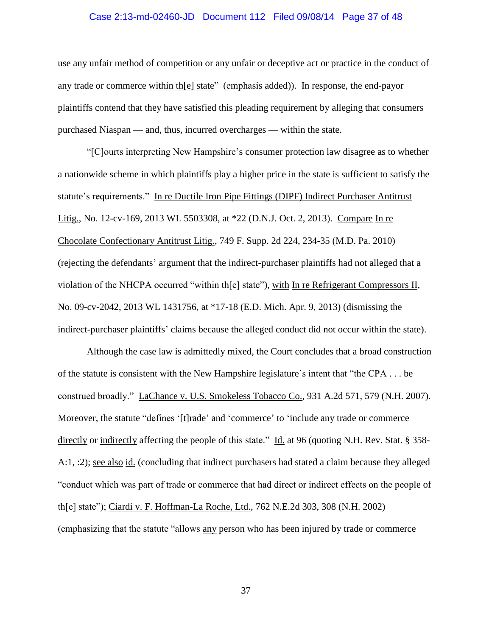### Case 2:13-md-02460-JD Document 112 Filed 09/08/14 Page 37 of 48

use any unfair method of competition or any unfair or deceptive act or practice in the conduct of any trade or commerce within th[e] state" (emphasis added)). In response, the end-payor plaintiffs contend that they have satisfied this pleading requirement by alleging that consumers purchased Niaspan — and, thus, incurred overcharges — within the state.

"[C]ourts interpreting New Hampshire's consumer protection law disagree as to whether a nationwide scheme in which plaintiffs play a higher price in the state is sufficient to satisfy the statute's requirements." In re Ductile Iron Pipe Fittings (DIPF) Indirect Purchaser Antitrust Litig., No. 12-cv-169, 2013 WL 5503308, at \*22 (D.N.J. Oct. 2, 2013). Compare In re Chocolate Confectionary Antitrust Litig., 749 F. Supp. 2d 224, 234-35 (M.D. Pa. 2010) (rejecting the defendants' argument that the indirect-purchaser plaintiffs had not alleged that a violation of the NHCPA occurred "within th[e] state"), with In re Refrigerant Compressors II, No. 09-cv-2042, 2013 WL 1431756, at \*17-18 (E.D. Mich. Apr. 9, 2013) (dismissing the indirect-purchaser plaintiffs' claims because the alleged conduct did not occur within the state).

Although the case law is admittedly mixed, the Court concludes that a broad construction of the statute is consistent with the New Hampshire legislature's intent that "the CPA . . . be construed broadly." LaChance v. U.S. Smokeless Tobacco Co., 931 A.2d 571, 579 (N.H. 2007). Moreover, the statute "defines '[t]rade' and 'commerce' to 'include any trade or commerce directly or indirectly affecting the people of this state." Id. at 96 (quoting N.H. Rev. Stat. § 358- A:1, :2); <u>see also id.</u> (concluding that indirect purchasers had stated a claim because they alleged "conduct which was part of trade or commerce that had direct or indirect effects on the people of th[e] state"); Ciardi v. F. Hoffman-La Roche, Ltd., 762 N.E.2d 303, 308 (N.H. 2002) (emphasizing that the statute "allows any person who has been injured by trade or commerce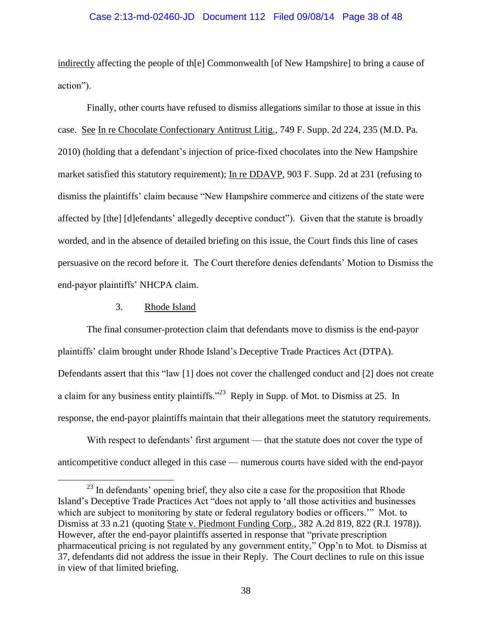#### Case 2:13-md-02460-JD Document 112 Filed 09/08/14 Page 38 of 48

indirectly affecting the people of th[e] Commonwealth [of New Hampshire] to bring a cause of action").

Finally, other courts have refused to dismiss allegations similar to those at issue in this case. See In re Chocolate Confectionary Antitrust Litig., 749 F. Supp. 2d 224, 235 (M.D. Pa. 2010) (holding that a defendant's injection of price-fixed chocolates into the New Hampshire market satisfied this statutory requirement); In re DDAVP, 903 F. Supp. 2d at 231 (refusing to dismiss the plaintiffs' claim because "New Hampshire commerce and citizens of the state were affected by [the] [d]efendants' allegedly deceptive conduct"). Given that the statute is broadly worded, and in the absence of detailed briefing on this issue, the Court finds this line of cases persuasive on the record before it. The Court therefore denies defendants' Motion to Dismiss the end-payor plaintiffs' NHCPA claim.

# 3. Rhode Island

 $\overline{a}$ 

The final consumer-protection claim that defendants move to dismiss is the end-payor plaintiffs' claim brought under Rhode Island's Deceptive Trade Practices Act (DTPA). Defendants assert that this "law [1] does not cover the challenged conduct and [2] does not create a claim for any business entity plaintiffs."<sup>23</sup> Reply in Supp. of Mot. to Dismiss at 25. In response, the end-payor plaintiffs maintain that their allegations meet the statutory requirements.

With respect to defendants' first argument — that the statute does not cover the type of anticompetitive conduct alleged in this case — numerous courts have sided with the end-payor

<sup>&</sup>lt;sup>23</sup> In defendants' opening brief, they also cite a case for the proposition that Rhode Island's Deceptive Trade Practices Act "does not apply to 'all those activities and businesses which are subject to monitoring by state or federal regulatory bodies or officers.'" Mot. to Dismiss at 33 n.21 (quoting State v. Piedmont Funding Corp., 382 A.2d 819, 822 (R.I. 1978)). However, after the end-payor plaintiffs asserted in response that "private prescription pharmaceutical pricing is not regulated by any government entity," Opp'n to Mot. to Dismiss at 37, defendants did not address the issue in their Reply. The Court declines to rule on this issue in view of that limited briefing.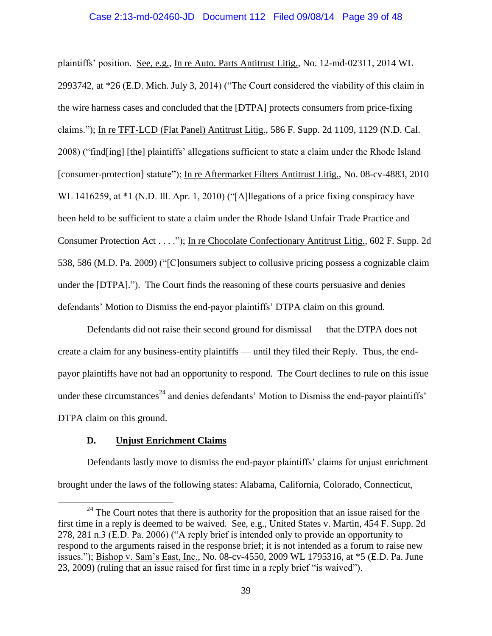plaintiffs' position. See, e.g., In re Auto. Parts Antitrust Litig., No. 12-md-02311, 2014 WL 2993742, at \*26 (E.D. Mich. July 3, 2014) ("The Court considered the viability of this claim in the wire harness cases and concluded that the [DTPA] protects consumers from price-fixing claims."); In re TFT-LCD (Flat Panel) Antitrust Litig., 586 F. Supp. 2d 1109, 1129 (N.D. Cal. 2008) ("find[ing] [the] plaintiffs' allegations sufficient to state a claim under the Rhode Island [consumer-protection] statute"); In re Aftermarket Filters Antitrust Litig., No. 08-cv-4883, 2010 WL 1416259, at \*1 (N.D. Ill. Apr. 1, 2010) ("[A] legations of a price fixing conspiracy have been held to be sufficient to state a claim under the Rhode Island Unfair Trade Practice and Consumer Protection Act . . . ."); In re Chocolate Confectionary Antitrust Litig., 602 F. Supp. 2d 538, 586 (M.D. Pa. 2009) ("[C]onsumers subject to collusive pricing possess a cognizable claim under the [DTPA]."). The Court finds the reasoning of these courts persuasive and denies defendants' Motion to Dismiss the end-payor plaintiffs' DTPA claim on this ground.

Defendants did not raise their second ground for dismissal — that the DTPA does not create a claim for any business-entity plaintiffs — until they filed their Reply. Thus, the endpayor plaintiffs have not had an opportunity to respond. The Court declines to rule on this issue under these circumstances<sup>24</sup> and denies defendants' Motion to Dismiss the end-payor plaintiffs' DTPA claim on this ground.

# **D. Unjust Enrichment Claims**

 $\overline{a}$ 

Defendants lastly move to dismiss the end-payor plaintiffs' claims for unjust enrichment brought under the laws of the following states: Alabama, California, Colorado, Connecticut,

 $24$  The Court notes that there is authority for the proposition that an issue raised for the first time in a reply is deemed to be waived. See, e.g., United States v. Martin, 454 F. Supp. 2d 278, 281 n.3 (E.D. Pa. 2006) ("A reply brief is intended only to provide an opportunity to respond to the arguments raised in the response brief; it is not intended as a forum to raise new issues."); Bishop v. Sam's East, Inc., No. 08-cv-4550, 2009 WL 1795316, at \*5 (E.D. Pa. June 23, 2009) (ruling that an issue raised for first time in a reply brief "is waived").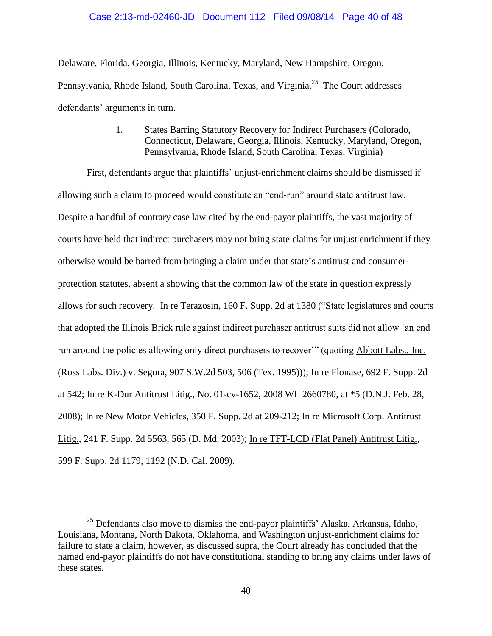# Case 2:13-md-02460-JD Document 112 Filed 09/08/14 Page 40 of 48

Delaware, Florida, Georgia, Illinois, Kentucky, Maryland, New Hampshire, Oregon, Pennsylvania, Rhode Island, South Carolina, Texas, and Virginia.<sup>25</sup> The Court addresses defendants' arguments in turn.

> 1. States Barring Statutory Recovery for Indirect Purchasers (Colorado, Connecticut, Delaware, Georgia, Illinois, Kentucky, Maryland, Oregon, Pennsylvania, Rhode Island, South Carolina, Texas, Virginia)

First, defendants argue that plaintiffs' unjust-enrichment claims should be dismissed if allowing such a claim to proceed would constitute an "end-run" around state antitrust law. Despite a handful of contrary case law cited by the end-payor plaintiffs, the vast majority of courts have held that indirect purchasers may not bring state claims for unjust enrichment if they otherwise would be barred from bringing a claim under that state's antitrust and consumerprotection statutes, absent a showing that the common law of the state in question expressly allows for such recovery. In re Terazosin, 160 F. Supp. 2d at 1380 ("State legislatures and courts that adopted the Illinois Brick rule against indirect purchaser antitrust suits did not allow 'an end run around the policies allowing only direct purchasers to recover'" (quoting Abbott Labs., Inc. (Ross Labs. Div.) v. Segura, 907 S.W.2d 503, 506 (Tex. 1995))); In re Flonase, 692 F. Supp. 2d at 542; In re K-Dur Antitrust Litig., No. 01-cv-1652, 2008 WL 2660780, at \*5 (D.N.J. Feb. 28, 2008); In re New Motor Vehicles, 350 F. Supp. 2d at 209-212; In re Microsoft Corp. Antitrust Litig., 241 F. Supp. 2d 5563, 565 (D. Md. 2003); In re TFT-LCD (Flat Panel) Antitrust Litig., 599 F. Supp. 2d 1179, 1192 (N.D. Cal. 2009).

<sup>&</sup>lt;sup>25</sup> Defendants also move to dismiss the end-payor plaintiffs' Alaska, Arkansas, Idaho, Louisiana, Montana, North Dakota, Oklahoma, and Washington unjust-enrichment claims for failure to state a claim, however, as discussed supra, the Court already has concluded that the named end-payor plaintiffs do not have constitutional standing to bring any claims under laws of these states.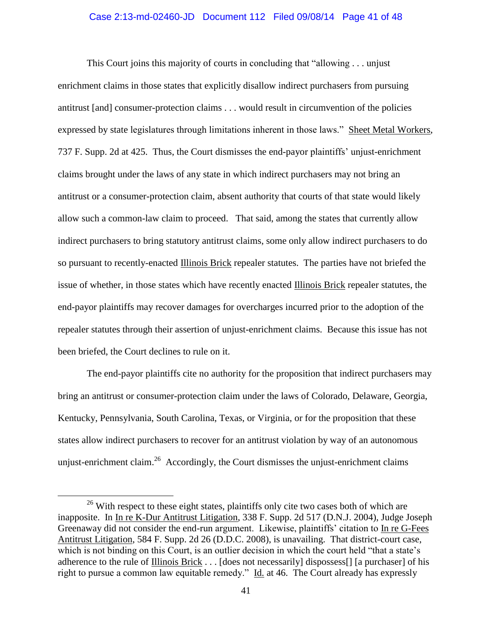#### Case 2:13-md-02460-JD Document 112 Filed 09/08/14 Page 41 of 48

This Court joins this majority of courts in concluding that "allowing . . . unjust enrichment claims in those states that explicitly disallow indirect purchasers from pursuing antitrust [and] consumer-protection claims . . . would result in circumvention of the policies expressed by state legislatures through limitations inherent in those laws." Sheet Metal Workers, 737 F. Supp. 2d at 425. Thus, the Court dismisses the end-payor plaintiffs' unjust-enrichment claims brought under the laws of any state in which indirect purchasers may not bring an antitrust or a consumer-protection claim, absent authority that courts of that state would likely allow such a common-law claim to proceed. That said, among the states that currently allow indirect purchasers to bring statutory antitrust claims, some only allow indirect purchasers to do so pursuant to recently-enacted Illinois Brick repealer statutes. The parties have not briefed the issue of whether, in those states which have recently enacted Illinois Brick repealer statutes, the end-payor plaintiffs may recover damages for overcharges incurred prior to the adoption of the repealer statutes through their assertion of unjust-enrichment claims. Because this issue has not been briefed, the Court declines to rule on it.

The end-payor plaintiffs cite no authority for the proposition that indirect purchasers may bring an antitrust or consumer-protection claim under the laws of Colorado, Delaware, Georgia, Kentucky, Pennsylvania, South Carolina, Texas, or Virginia, or for the proposition that these states allow indirect purchasers to recover for an antitrust violation by way of an autonomous unjust-enrichment claim.<sup>26</sup> Accordingly, the Court dismisses the unjust-enrichment claims

<sup>&</sup>lt;sup>26</sup> With respect to these eight states, plaintiffs only cite two cases both of which are inapposite. In In re K-Dur Antitrust Litigation, 338 F. Supp. 2d 517 (D.N.J. 2004), Judge Joseph Greenaway did not consider the end-run argument. Likewise, plaintiffs' citation to In re G-Fees Antitrust Litigation, 584 F. Supp. 2d 26 (D.D.C. 2008), is unavailing. That district-court case, which is not binding on this Court, is an outlier decision in which the court held "that a state's adherence to the rule of Illinois Brick . . . [does not necessarily] dispossess[] [a purchaser] of his right to pursue a common law equitable remedy." Id. at 46. The Court already has expressly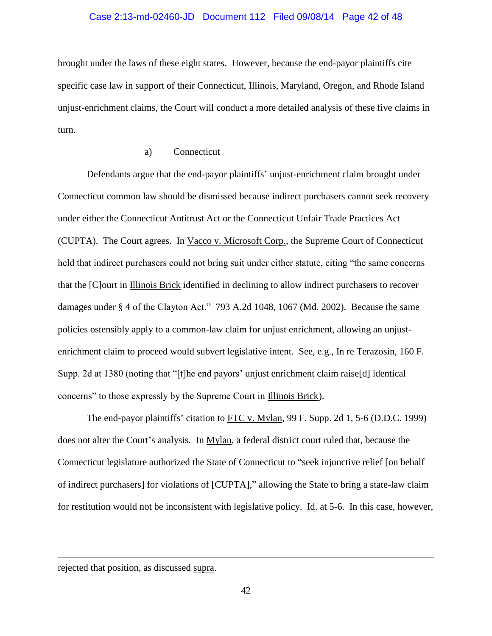#### Case 2:13-md-02460-JD Document 112 Filed 09/08/14 Page 42 of 48

brought under the laws of these eight states. However, because the end-payor plaintiffs cite specific case law in support of their Connecticut, Illinois, Maryland, Oregon, and Rhode Island unjust-enrichment claims, the Court will conduct a more detailed analysis of these five claims in turn.

# a) Connecticut

Defendants argue that the end-payor plaintiffs' unjust-enrichment claim brought under Connecticut common law should be dismissed because indirect purchasers cannot seek recovery under either the Connecticut Antitrust Act or the Connecticut Unfair Trade Practices Act (CUPTA). The Court agrees. In Vacco v. Microsoft Corp., the Supreme Court of Connecticut held that indirect purchasers could not bring suit under either statute, citing "the same concerns that the [C]ourt in Illinois Brick identified in declining to allow indirect purchasers to recover damages under § 4 of the Clayton Act." 793 A.2d 1048, 1067 (Md. 2002). Because the same policies ostensibly apply to a common-law claim for unjust enrichment, allowing an unjustenrichment claim to proceed would subvert legislative intent. See, e.g., In re Terazosin, 160 F. Supp. 2d at 1380 (noting that "[t]he end payors' unjust enrichment claim raise[d] identical concerns" to those expressly by the Supreme Court in Illinois Brick).

The end-payor plaintiffs' citation to FTC v. Mylan, 99 F. Supp. 2d 1, 5-6 (D.D.C. 1999) does not alter the Court's analysis. In Mylan, a federal district court ruled that, because the Connecticut legislature authorized the State of Connecticut to "seek injunctive relief [on behalf of indirect purchasers] for violations of [CUPTA]," allowing the State to bring a state-law claim for restitution would not be inconsistent with legislative policy. Id. at 5-6. In this case, however,

rejected that position, as discussed supra.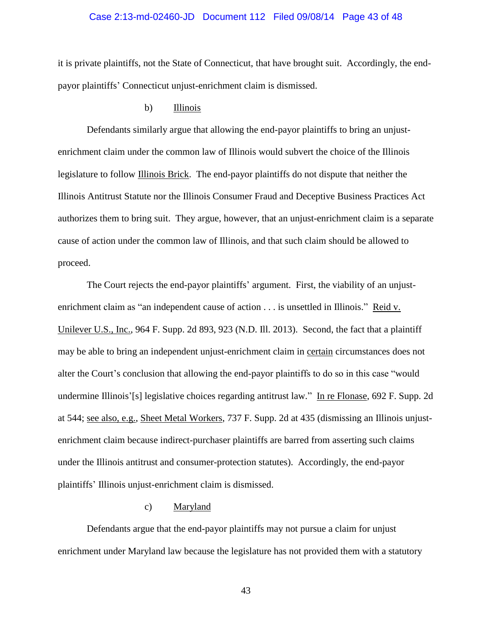#### Case 2:13-md-02460-JD Document 112 Filed 09/08/14 Page 43 of 48

it is private plaintiffs, not the State of Connecticut, that have brought suit. Accordingly, the endpayor plaintiffs' Connecticut unjust-enrichment claim is dismissed.

### b) Illinois

Defendants similarly argue that allowing the end-payor plaintiffs to bring an unjustenrichment claim under the common law of Illinois would subvert the choice of the Illinois legislature to follow Illinois Brick. The end-payor plaintiffs do not dispute that neither the Illinois Antitrust Statute nor the Illinois Consumer Fraud and Deceptive Business Practices Act authorizes them to bring suit. They argue, however, that an unjust-enrichment claim is a separate cause of action under the common law of Illinois, and that such claim should be allowed to proceed.

The Court rejects the end-payor plaintiffs' argument. First, the viability of an unjustenrichment claim as "an independent cause of action . . . is unsettled in Illinois." Reid v. Unilever U.S., Inc., 964 F. Supp. 2d 893, 923 (N.D. Ill. 2013). Second, the fact that a plaintiff may be able to bring an independent unjust-enrichment claim in certain circumstances does not alter the Court's conclusion that allowing the end-payor plaintiffs to do so in this case "would undermine Illinois'[s] legislative choices regarding antitrust law." In re Flonase, 692 F. Supp. 2d at 544; see also, e.g., Sheet Metal Workers, 737 F. Supp. 2d at 435 (dismissing an Illinois unjustenrichment claim because indirect-purchaser plaintiffs are barred from asserting such claims under the Illinois antitrust and consumer-protection statutes). Accordingly, the end-payor plaintiffs' Illinois unjust-enrichment claim is dismissed.

# c) Maryland

Defendants argue that the end-payor plaintiffs may not pursue a claim for unjust enrichment under Maryland law because the legislature has not provided them with a statutory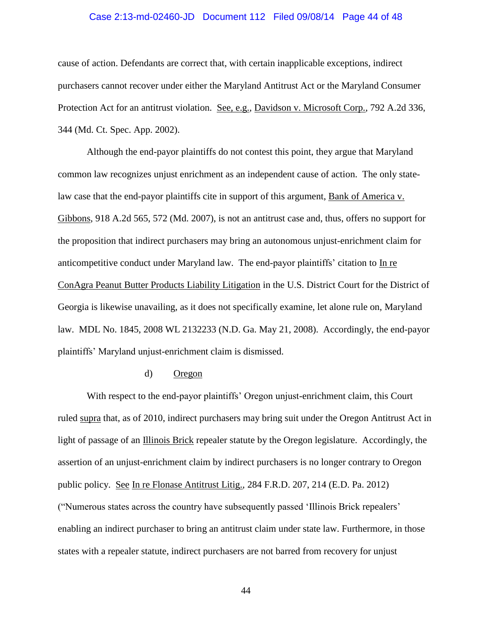### Case 2:13-md-02460-JD Document 112 Filed 09/08/14 Page 44 of 48

cause of action. Defendants are correct that, with certain inapplicable exceptions, indirect purchasers cannot recover under either the Maryland Antitrust Act or the Maryland Consumer Protection Act for an antitrust violation. See, e.g., Davidson v. Microsoft Corp., 792 A.2d 336, 344 (Md. Ct. Spec. App. 2002).

Although the end-payor plaintiffs do not contest this point, they argue that Maryland common law recognizes unjust enrichment as an independent cause of action. The only statelaw case that the end-payor plaintiffs cite in support of this argument, Bank of America v. Gibbons, 918 A.2d 565, 572 (Md. 2007), is not an antitrust case and, thus, offers no support for the proposition that indirect purchasers may bring an autonomous unjust-enrichment claim for anticompetitive conduct under Maryland law. The end-payor plaintiffs' citation to In re ConAgra Peanut Butter Products Liability Litigation in the U.S. District Court for the District of Georgia is likewise unavailing, as it does not specifically examine, let alone rule on, Maryland law. MDL No. 1845, 2008 WL 2132233 (N.D. Ga. May 21, 2008). Accordingly, the end-payor plaintiffs' Maryland unjust-enrichment claim is dismissed.

## d) Oregon

With respect to the end-payor plaintiffs' Oregon unjust-enrichment claim, this Court ruled supra that, as of 2010, indirect purchasers may bring suit under the Oregon Antitrust Act in light of passage of an Illinois Brick repealer statute by the Oregon legislature. Accordingly, the assertion of an unjust-enrichment claim by indirect purchasers is no longer contrary to Oregon public policy. See In re Flonase Antitrust Litig., 284 F.R.D. 207, 214 (E.D. Pa. 2012) ("Numerous states across the country have subsequently passed 'Illinois Brick repealers' enabling an indirect purchaser to bring an antitrust claim under state law. Furthermore, in those states with a repealer statute, indirect purchasers are not barred from recovery for unjust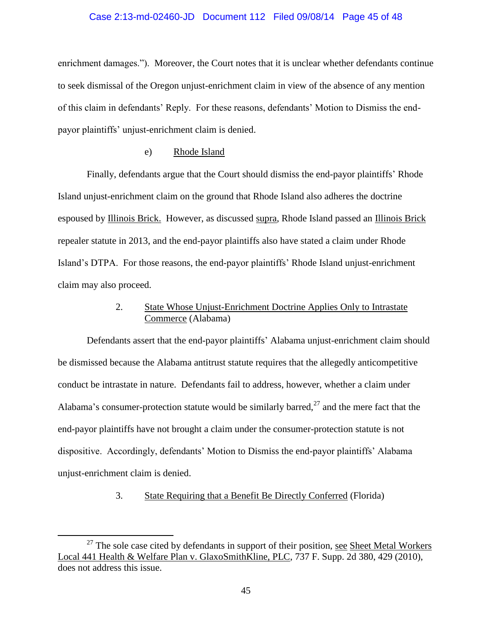### Case 2:13-md-02460-JD Document 112 Filed 09/08/14 Page 45 of 48

enrichment damages."). Moreover, the Court notes that it is unclear whether defendants continue to seek dismissal of the Oregon unjust-enrichment claim in view of the absence of any mention of this claim in defendants' Reply. For these reasons, defendants' Motion to Dismiss the endpayor plaintiffs' unjust-enrichment claim is denied.

## e) Rhode Island

Finally, defendants argue that the Court should dismiss the end-payor plaintiffs' Rhode Island unjust-enrichment claim on the ground that Rhode Island also adheres the doctrine espoused by Illinois Brick. However, as discussed supra, Rhode Island passed an Illinois Brick repealer statute in 2013, and the end-payor plaintiffs also have stated a claim under Rhode Island's DTPA. For those reasons, the end-payor plaintiffs' Rhode Island unjust-enrichment claim may also proceed.

# 2. State Whose Unjust-Enrichment Doctrine Applies Only to Intrastate Commerce (Alabama)

Defendants assert that the end-payor plaintiffs' Alabama unjust-enrichment claim should be dismissed because the Alabama antitrust statute requires that the allegedly anticompetitive conduct be intrastate in nature. Defendants fail to address, however, whether a claim under Alabama's consumer-protection statute would be similarly barred,  $27$  and the mere fact that the end-payor plaintiffs have not brought a claim under the consumer-protection statute is not dispositive. Accordingly, defendants' Motion to Dismiss the end-payor plaintiffs' Alabama unjust-enrichment claim is denied.

# 3. State Requiring that a Benefit Be Directly Conferred (Florida)

 $27$  The sole case cited by defendants in support of their position, see Sheet Metal Workers Local 441 Health & Welfare Plan v. GlaxoSmithKline, PLC, 737 F. Supp. 2d 380, 429 (2010), does not address this issue.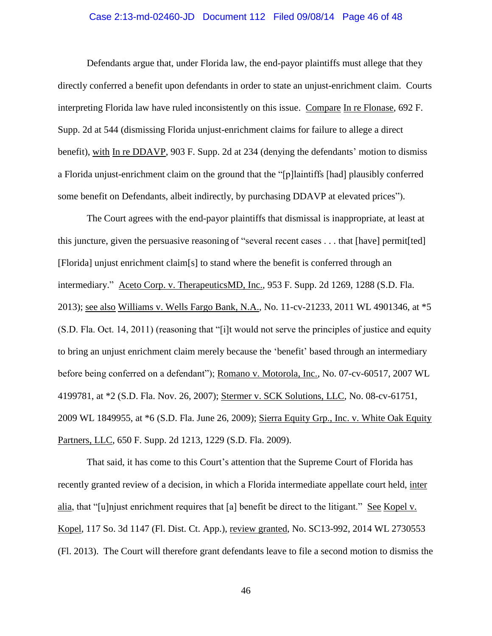### Case 2:13-md-02460-JD Document 112 Filed 09/08/14 Page 46 of 48

Defendants argue that, under Florida law, the end-payor plaintiffs must allege that they directly conferred a benefit upon defendants in order to state an unjust-enrichment claim. Courts interpreting Florida law have ruled inconsistently on this issue. Compare In re Flonase, 692 F. Supp. 2d at 544 (dismissing Florida unjust-enrichment claims for failure to allege a direct benefit), with In re DDAVP, 903 F. Supp. 2d at 234 (denying the defendants' motion to dismiss a Florida unjust-enrichment claim on the ground that the "[p]laintiffs [had] plausibly conferred some benefit on Defendants, albeit indirectly, by purchasing DDAVP at elevated prices").

The Court agrees with the end-payor plaintiffs that dismissal is inappropriate, at least at this juncture, given the persuasive reasoning of "several recent cases . . . that [have] permit[ted] [Florida] unjust enrichment claim[s] to stand where the benefit is conferred through an intermediary." Aceto Corp. v. TherapeuticsMD, Inc., 953 F. Supp. 2d 1269, 1288 (S.D. Fla. 2013); see also Williams v. Wells Fargo Bank, N.A., No. 11-cv-21233, 2011 WL 4901346, at \*5 (S.D. Fla. Oct. 14, 2011) (reasoning that "[i]t would not serve the principles of justice and equity to bring an unjust enrichment claim merely because the 'benefit' based through an intermediary before being conferred on a defendant"); Romano v. Motorola, Inc., No. 07-cv-60517, 2007 WL 4199781, at \*2 (S.D. Fla. Nov. 26, 2007); Stermer v. SCK Solutions, LLC, No. 08-cv-61751, 2009 WL 1849955, at \*6 (S.D. Fla. June 26, 2009); Sierra Equity Grp., Inc. v. White Oak Equity Partners, LLC, 650 F. Supp. 2d 1213, 1229 (S.D. Fla. 2009).

That said, it has come to this Court's attention that the Supreme Court of Florida has recently granted review of a decision, in which a Florida intermediate appellate court held, inter alia, that "[u]njust enrichment requires that [a] benefit be direct to the litigant." See Kopel v. Kopel, 117 So. 3d 1147 (Fl. Dist. Ct. App.), review granted, No. SC13-992, 2014 WL 2730553 (Fl. 2013). The Court will therefore grant defendants leave to file a second motion to dismiss the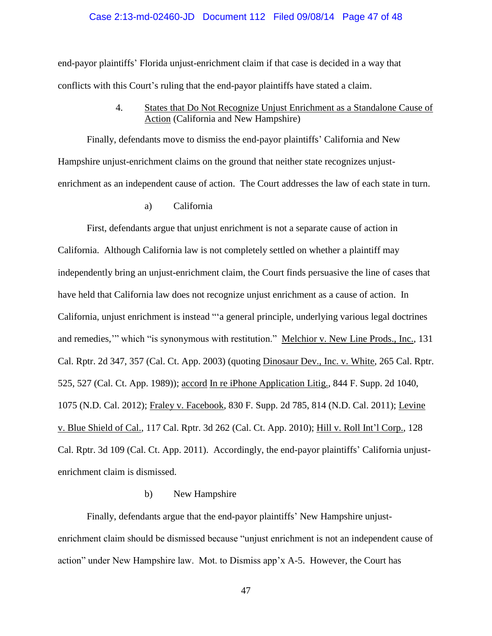### Case 2:13-md-02460-JD Document 112 Filed 09/08/14 Page 47 of 48

end-payor plaintiffs' Florida unjust-enrichment claim if that case is decided in a way that conflicts with this Court's ruling that the end-payor plaintiffs have stated a claim.

> 4. States that Do Not Recognize Unjust Enrichment as a Standalone Cause of Action (California and New Hampshire)

Finally, defendants move to dismiss the end-payor plaintiffs' California and New Hampshire unjust-enrichment claims on the ground that neither state recognizes unjustenrichment as an independent cause of action. The Court addresses the law of each state in turn.

a) California

First, defendants argue that unjust enrichment is not a separate cause of action in California. Although California law is not completely settled on whether a plaintiff may independently bring an unjust-enrichment claim, the Court finds persuasive the line of cases that have held that California law does not recognize unjust enrichment as a cause of action. In California, unjust enrichment is instead "'a general principle, underlying various legal doctrines and remedies," which "is synonymous with restitution." Melchior v. New Line Prods., Inc., 131 Cal. Rptr. 2d 347, 357 (Cal. Ct. App. 2003) (quoting Dinosaur Dev., Inc. v. White, 265 Cal. Rptr. 525, 527 (Cal. Ct. App. 1989)); accord In re iPhone Application Litig., 844 F. Supp. 2d 1040, 1075 (N.D. Cal. 2012); Fraley v. Facebook, 830 F. Supp. 2d 785, 814 (N.D. Cal. 2011); Levine v. Blue Shield of Cal., 117 Cal. Rptr. 3d 262 (Cal. Ct. App. 2010); Hill v. Roll Int'l Corp., 128 Cal. Rptr. 3d 109 (Cal. Ct. App. 2011). Accordingly, the end-payor plaintiffs' California unjustenrichment claim is dismissed.

# b) New Hampshire

Finally, defendants argue that the end-payor plaintiffs' New Hampshire unjustenrichment claim should be dismissed because "unjust enrichment is not an independent cause of action" under New Hampshire law. Mot. to Dismiss app'x A-5. However, the Court has